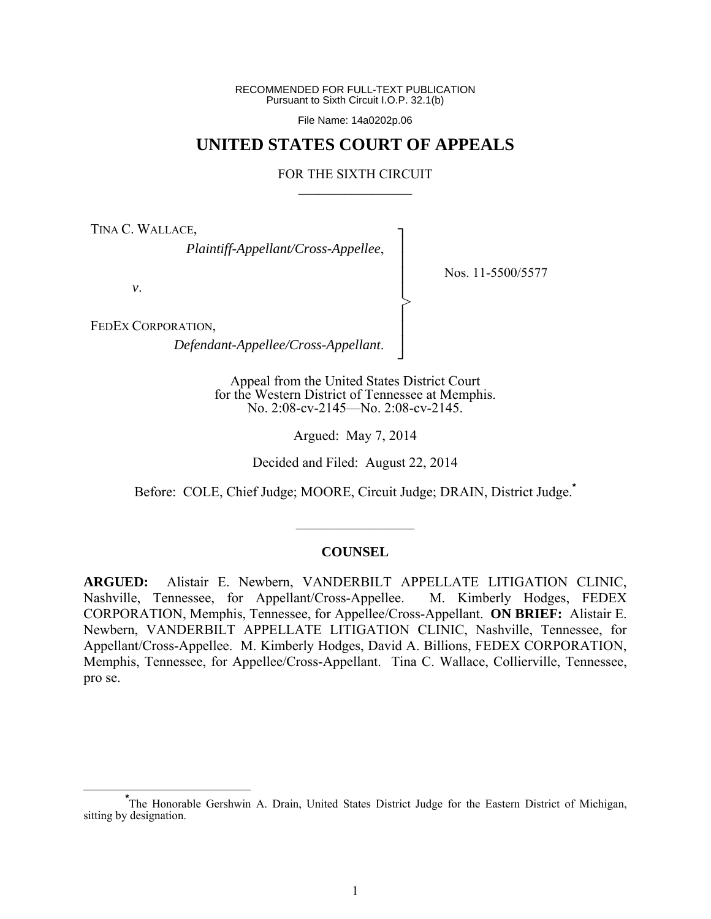RECOMMENDED FOR FULL-TEXT PUBLICATION Pursuant to Sixth Circuit I.O.P. 32.1(b)

File Name: 14a0202p.06

## **UNITED STATES COURT OF APPEALS**

#### FOR THE SIXTH CIRCUIT  $\mathcal{L}_\text{max}$

┐ │ │ │ │ │ │ │ ┘

>

TINA C. WALLACE,

*Plaintiff-Appellant/Cross-Appellee*,

*v*.

Nos. 11-5500/5577

FEDEX CORPORATION,

*Defendant-Appellee/Cross-Appellant*.

Appeal from the United States District Court for the Western District of Tennessee at Memphis. No. 2:08-cv-2145—No. 2:08-cv-2145.

Argued: May 7, 2014

Decided and Filed: August 22, 2014

Before: COLE, Chief Judge; MOORE, Circuit Judge; DRAIN, District Judge.**\***

 $\frac{1}{2}$ 

#### **COUNSEL**

**ARGUED:** Alistair E. Newbern, VANDERBILT APPELLATE LITIGATION CLINIC, Nashville, Tennessee, for Appellant/Cross-Appellee. M. Kimberly Hodges, FEDEX CORPORATION, Memphis, Tennessee, for Appellee/Cross-Appellant. **ON BRIEF:** Alistair E. Newbern, VANDERBILT APPELLATE LITIGATION CLINIC, Nashville, Tennessee, for Appellant/Cross-Appellee. M. Kimberly Hodges, David A. Billions, FEDEX CORPORATION, Memphis, Tennessee, for Appellee/Cross-Appellant. Tina C. Wallace, Collierville, Tennessee, pro se.

**\*** The Honorable Gershwin A. Drain, United States District Judge for the Eastern District of Michigan, sitting by designation.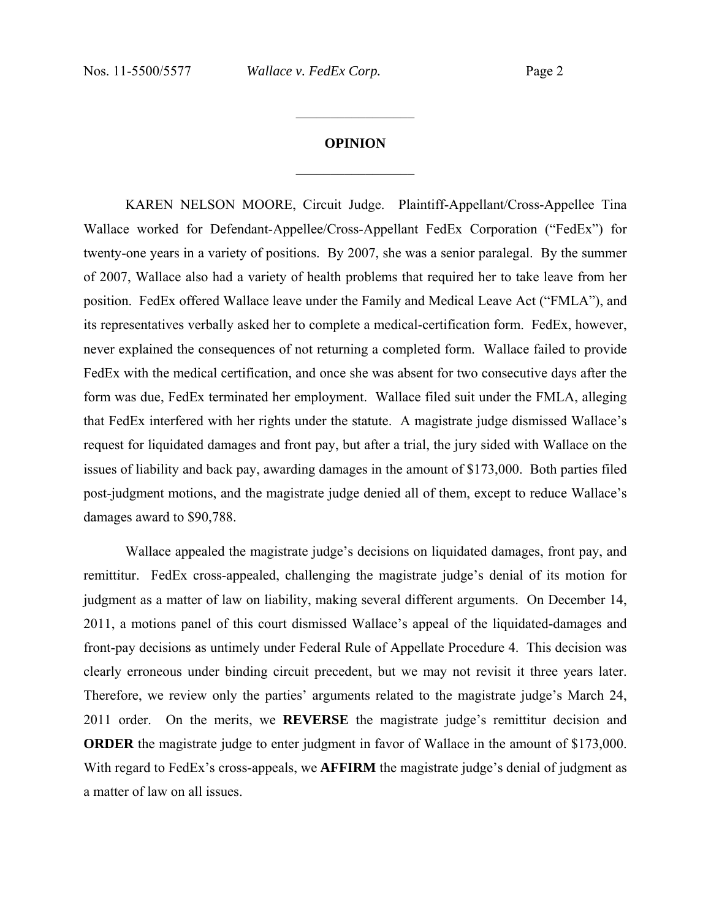# **OPINION**  $\frac{1}{2}$

 $\frac{1}{2}$ 

KAREN NELSON MOORE, Circuit Judge.Plaintiff-Appellant/Cross-Appellee Tina Wallace worked for Defendant-Appellee/Cross-Appellant FedEx Corporation ("FedEx") for twenty-one years in a variety of positions. By 2007, she was a senior paralegal. By the summer of 2007, Wallace also had a variety of health problems that required her to take leave from her position. FedEx offered Wallace leave under the Family and Medical Leave Act ("FMLA"), and its representatives verbally asked her to complete a medical-certification form. FedEx, however, never explained the consequences of not returning a completed form. Wallace failed to provide FedEx with the medical certification, and once she was absent for two consecutive days after the form was due, FedEx terminated her employment. Wallace filed suit under the FMLA, alleging that FedEx interfered with her rights under the statute. A magistrate judge dismissed Wallace's request for liquidated damages and front pay, but after a trial, the jury sided with Wallace on the issues of liability and back pay, awarding damages in the amount of \$173,000. Both parties filed post-judgment motions, and the magistrate judge denied all of them, except to reduce Wallace's damages award to \$90,788.

 Wallace appealed the magistrate judge's decisions on liquidated damages, front pay, and remittitur. FedEx cross-appealed, challenging the magistrate judge's denial of its motion for judgment as a matter of law on liability, making several different arguments. On December 14, 2011, a motions panel of this court dismissed Wallace's appeal of the liquidated-damages and front-pay decisions as untimely under Federal Rule of Appellate Procedure 4. This decision was clearly erroneous under binding circuit precedent, but we may not revisit it three years later. Therefore, we review only the parties' arguments related to the magistrate judge's March 24, 2011 order. On the merits, we **REVERSE** the magistrate judge's remittitur decision and **ORDER** the magistrate judge to enter judgment in favor of Wallace in the amount of \$173,000. With regard to FedEx's cross-appeals, we **AFFIRM** the magistrate judge's denial of judgment as a matter of law on all issues.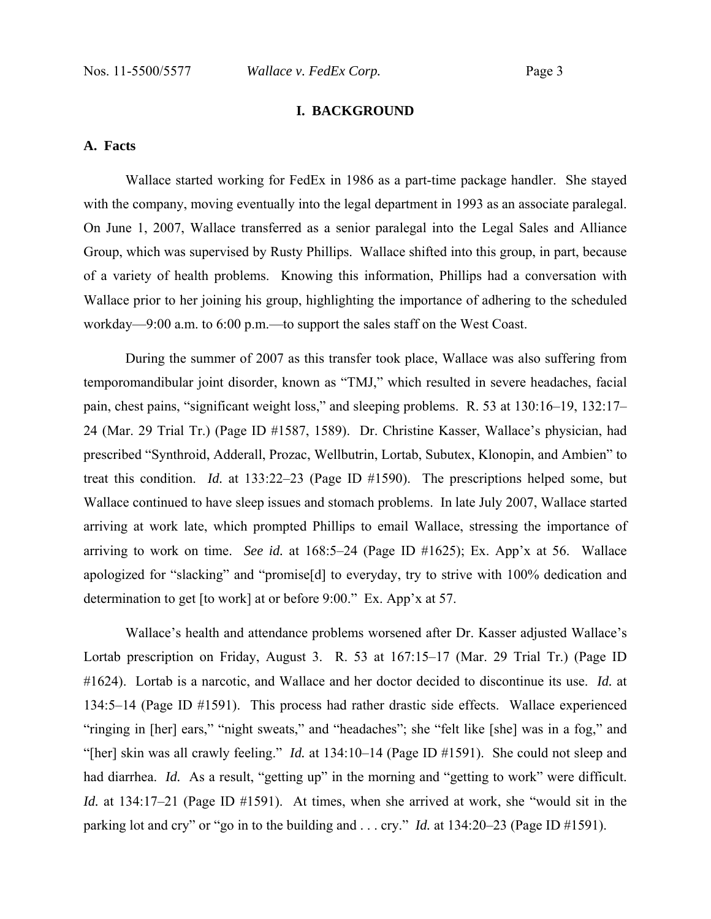## **I. BACKGROUND**

## **A. Facts**

Wallace started working for FedEx in 1986 as a part-time package handler. She stayed with the company, moving eventually into the legal department in 1993 as an associate paralegal. On June 1, 2007, Wallace transferred as a senior paralegal into the Legal Sales and Alliance Group, which was supervised by Rusty Phillips. Wallace shifted into this group, in part, because of a variety of health problems. Knowing this information, Phillips had a conversation with Wallace prior to her joining his group, highlighting the importance of adhering to the scheduled workday—9:00 a.m. to 6:00 p.m.—to support the sales staff on the West Coast.

During the summer of 2007 as this transfer took place, Wallace was also suffering from temporomandibular joint disorder, known as "TMJ," which resulted in severe headaches, facial pain, chest pains, "significant weight loss," and sleeping problems. R. 53 at 130:16–19, 132:17– 24 (Mar. 29 Trial Tr.) (Page ID #1587, 1589). Dr. Christine Kasser, Wallace's physician, had prescribed "Synthroid, Adderall, Prozac, Wellbutrin, Lortab, Subutex, Klonopin, and Ambien" to treat this condition. *Id.* at 133:22–23 (Page ID #1590). The prescriptions helped some, but Wallace continued to have sleep issues and stomach problems. In late July 2007, Wallace started arriving at work late, which prompted Phillips to email Wallace, stressing the importance of arriving to work on time. *See id.* at 168:5–24 (Page ID #1625); Ex. App'x at 56. Wallace apologized for "slacking" and "promise[d] to everyday, try to strive with 100% dedication and determination to get [to work] at or before 9:00." Ex. App'x at 57.

Wallace's health and attendance problems worsened after Dr. Kasser adjusted Wallace's Lortab prescription on Friday, August 3. R. 53 at 167:15–17 (Mar. 29 Trial Tr.) (Page ID #1624). Lortab is a narcotic, and Wallace and her doctor decided to discontinue its use. *Id.* at 134:5–14 (Page ID #1591). This process had rather drastic side effects. Wallace experienced "ringing in [her] ears," "night sweats," and "headaches"; she "felt like [she] was in a fog," and "[her] skin was all crawly feeling." *Id.* at 134:10–14 (Page ID #1591). She could not sleep and had diarrhea. *Id.* As a result, "getting up" in the morning and "getting to work" were difficult. *Id.* at 134:17–21 (Page ID #1591). At times, when she arrived at work, she "would sit in the parking lot and cry" or "go in to the building and . . . cry." *Id.* at 134:20–23 (Page ID #1591).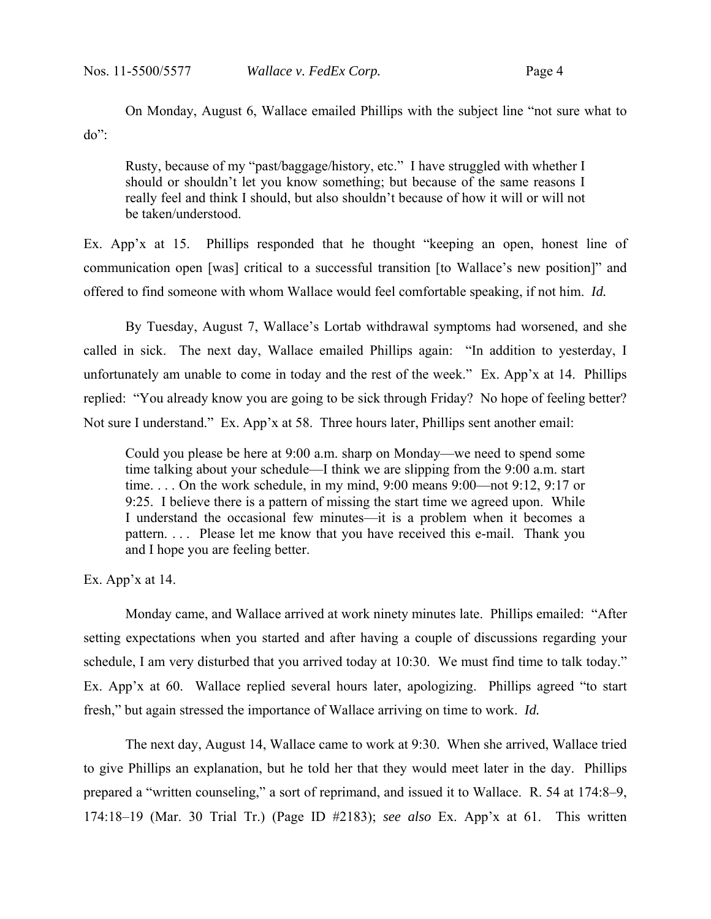On Monday, August 6, Wallace emailed Phillips with the subject line "not sure what to do":

Rusty, because of my "past/baggage/history, etc." I have struggled with whether I should or shouldn't let you know something; but because of the same reasons I really feel and think I should, but also shouldn't because of how it will or will not be taken/understood.

Ex. App'x at 15. Phillips responded that he thought "keeping an open, honest line of communication open [was] critical to a successful transition [to Wallace's new position]" and offered to find someone with whom Wallace would feel comfortable speaking, if not him. *Id.* 

 By Tuesday, August 7, Wallace's Lortab withdrawal symptoms had worsened, and she called in sick. The next day, Wallace emailed Phillips again: "In addition to yesterday, I unfortunately am unable to come in today and the rest of the week." Ex. App'x at 14. Phillips replied: "You already know you are going to be sick through Friday? No hope of feeling better? Not sure I understand." Ex. App'x at 58. Three hours later, Phillips sent another email:

Could you please be here at 9:00 a.m. sharp on Monday—we need to spend some time talking about your schedule—I think we are slipping from the 9:00 a.m. start time. . . . On the work schedule, in my mind, 9:00 means 9:00—not 9:12, 9:17 or 9:25. I believe there is a pattern of missing the start time we agreed upon. While I understand the occasional few minutes—it is a problem when it becomes a pattern. . . . Please let me know that you have received this e-mail. Thank you and I hope you are feeling better.

Ex. App'x at 14.

 Monday came, and Wallace arrived at work ninety minutes late. Phillips emailed: "After setting expectations when you started and after having a couple of discussions regarding your schedule, I am very disturbed that you arrived today at 10:30. We must find time to talk today." Ex. App'x at 60. Wallace replied several hours later, apologizing. Phillips agreed "to start fresh," but again stressed the importance of Wallace arriving on time to work. *Id.* 

 The next day, August 14, Wallace came to work at 9:30. When she arrived, Wallace tried to give Phillips an explanation, but he told her that they would meet later in the day. Phillips prepared a "written counseling," a sort of reprimand, and issued it to Wallace. R. 54 at 174:8–9, 174:18–19 (Mar. 30 Trial Tr.) (Page ID #2183); *see also* Ex. App'x at 61. This written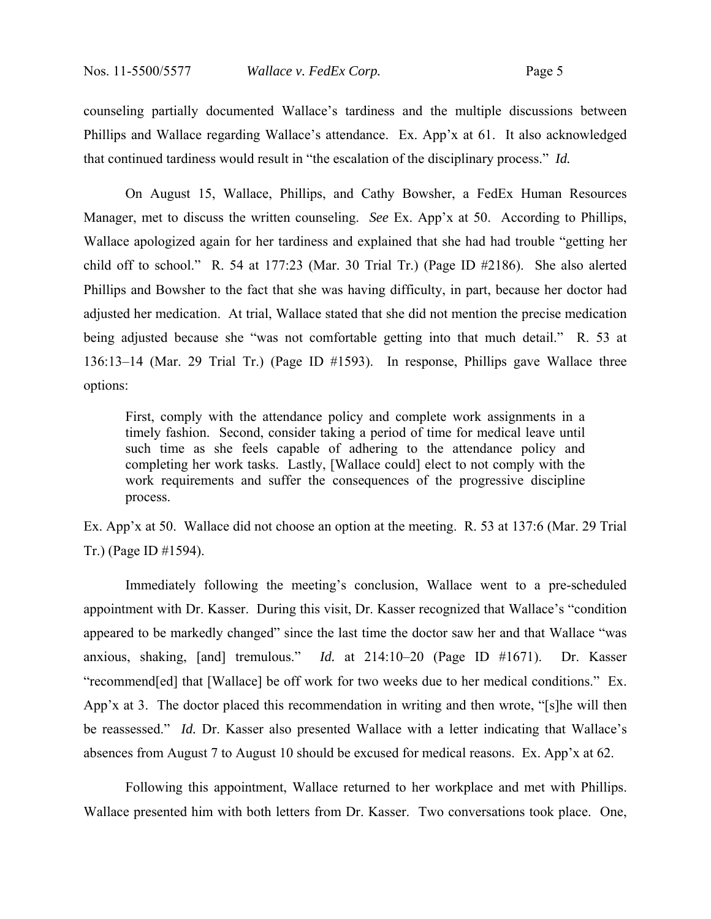counseling partially documented Wallace's tardiness and the multiple discussions between Phillips and Wallace regarding Wallace's attendance. Ex. App'x at 61. It also acknowledged that continued tardiness would result in "the escalation of the disciplinary process." *Id.*

 On August 15, Wallace, Phillips, and Cathy Bowsher, a FedEx Human Resources Manager, met to discuss the written counseling. *See* Ex. App'x at 50. According to Phillips, Wallace apologized again for her tardiness and explained that she had had trouble "getting her child off to school." R. 54 at 177:23 (Mar. 30 Trial Tr.) (Page ID #2186). She also alerted Phillips and Bowsher to the fact that she was having difficulty, in part, because her doctor had adjusted her medication. At trial, Wallace stated that she did not mention the precise medication being adjusted because she "was not comfortable getting into that much detail." R. 53 at 136:13–14 (Mar. 29 Trial Tr.) (Page ID #1593). In response, Phillips gave Wallace three options:

First, comply with the attendance policy and complete work assignments in a timely fashion. Second, consider taking a period of time for medical leave until such time as she feels capable of adhering to the attendance policy and completing her work tasks. Lastly, [Wallace could] elect to not comply with the work requirements and suffer the consequences of the progressive discipline process.

Ex. App'x at 50. Wallace did not choose an option at the meeting. R. 53 at 137:6 (Mar. 29 Trial Tr.) (Page ID #1594).

 Immediately following the meeting's conclusion, Wallace went to a pre-scheduled appointment with Dr. Kasser. During this visit, Dr. Kasser recognized that Wallace's "condition appeared to be markedly changed" since the last time the doctor saw her and that Wallace "was anxious, shaking, [and] tremulous." *Id.* at 214:10–20 (Page ID #1671). Dr. Kasser "recommend[ed] that [Wallace] be off work for two weeks due to her medical conditions." Ex. App'x at 3. The doctor placed this recommendation in writing and then wrote, "[s]he will then be reassessed." *Id.* Dr. Kasser also presented Wallace with a letter indicating that Wallace's absences from August 7 to August 10 should be excused for medical reasons. Ex. App'x at 62.

 Following this appointment, Wallace returned to her workplace and met with Phillips. Wallace presented him with both letters from Dr. Kasser. Two conversations took place. One,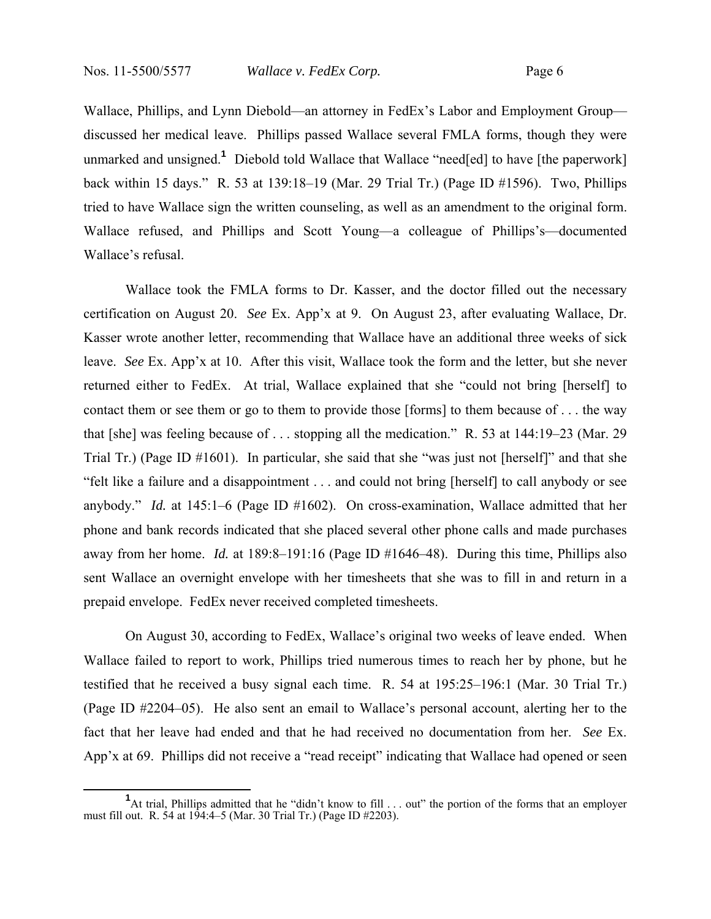Wallace, Phillips, and Lynn Diebold—an attorney in FedEx's Labor and Employment Group discussed her medical leave. Phillips passed Wallace several FMLA forms, though they were unmarked and unsigned.**<sup>1</sup>** Diebold told Wallace that Wallace "need[ed] to have [the paperwork] back within 15 days." R. 53 at 139:18–19 (Mar. 29 Trial Tr.) (Page ID #1596). Two, Phillips tried to have Wallace sign the written counseling, as well as an amendment to the original form. Wallace refused, and Phillips and Scott Young—a colleague of Phillips's—documented Wallace's refusal.

 Wallace took the FMLA forms to Dr. Kasser, and the doctor filled out the necessary certification on August 20. *See* Ex. App'x at 9. On August 23, after evaluating Wallace, Dr. Kasser wrote another letter, recommending that Wallace have an additional three weeks of sick leave. *See* Ex. App'x at 10. After this visit, Wallace took the form and the letter, but she never returned either to FedEx. At trial, Wallace explained that she "could not bring [herself] to contact them or see them or go to them to provide those [forms] to them because of . . . the way that [she] was feeling because of . . . stopping all the medication." R. 53 at 144:19–23 (Mar. 29 Trial Tr.) (Page ID #1601). In particular, she said that she "was just not [herself]" and that she "felt like a failure and a disappointment . . . and could not bring [herself] to call anybody or see anybody." *Id.* at 145:1–6 (Page ID #1602). On cross-examination, Wallace admitted that her phone and bank records indicated that she placed several other phone calls and made purchases away from her home. *Id.* at 189:8–191:16 (Page ID #1646–48). During this time, Phillips also sent Wallace an overnight envelope with her timesheets that she was to fill in and return in a prepaid envelope. FedEx never received completed timesheets.

 On August 30, according to FedEx, Wallace's original two weeks of leave ended. When Wallace failed to report to work, Phillips tried numerous times to reach her by phone, but he testified that he received a busy signal each time. R. 54 at 195:25–196:1 (Mar. 30 Trial Tr.) (Page ID #2204–05). He also sent an email to Wallace's personal account, alerting her to the fact that her leave had ended and that he had received no documentation from her. *See* Ex. App'x at 69. Phillips did not receive a "read receipt" indicating that Wallace had opened or seen

<sup>&</sup>lt;sup>1</sup> At trial, Phillips admitted that he "didn't know to fill . . . out" the portion of the forms that an employer must fill out. R. 54 at 194:4–5 (Mar. 30 Trial Tr.) (Page ID #2203).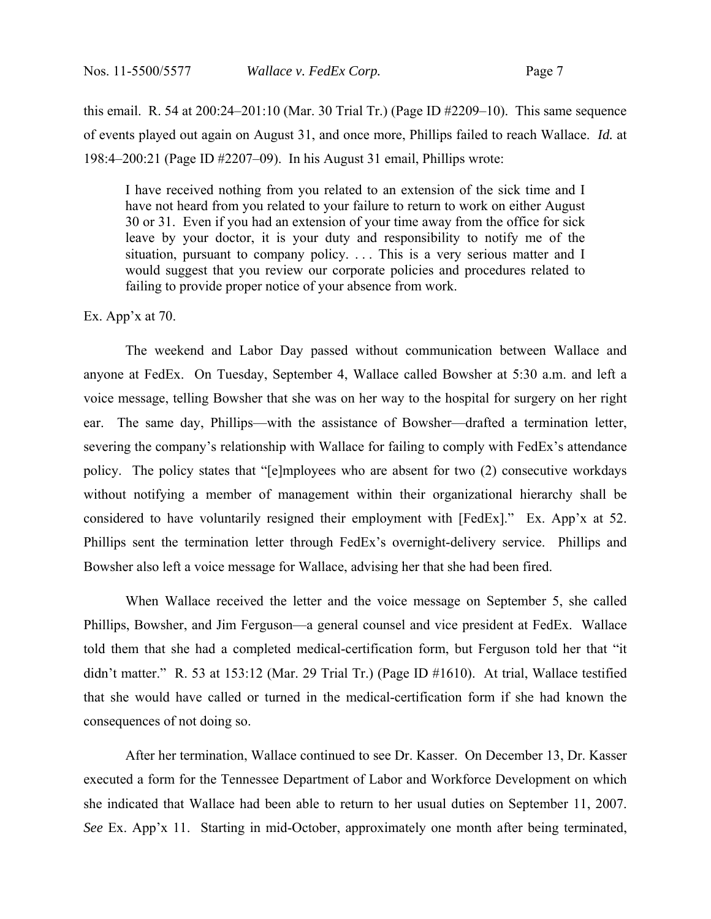this email. R. 54 at 200:24–201:10 (Mar. 30 Trial Tr.) (Page ID #2209–10). This same sequence of events played out again on August 31, and once more, Phillips failed to reach Wallace. *Id.* at 198:4–200:21 (Page ID #2207–09). In his August 31 email, Phillips wrote:

I have received nothing from you related to an extension of the sick time and I have not heard from you related to your failure to return to work on either August 30 or 31. Even if you had an extension of your time away from the office for sick leave by your doctor, it is your duty and responsibility to notify me of the situation, pursuant to company policy. ... This is a very serious matter and I would suggest that you review our corporate policies and procedures related to failing to provide proper notice of your absence from work.

#### Ex. App'x at 70.

 The weekend and Labor Day passed without communication between Wallace and anyone at FedEx. On Tuesday, September 4, Wallace called Bowsher at 5:30 a.m. and left a voice message, telling Bowsher that she was on her way to the hospital for surgery on her right ear. The same day, Phillips—with the assistance of Bowsher—drafted a termination letter, severing the company's relationship with Wallace for failing to comply with FedEx's attendance policy. The policy states that "[e]mployees who are absent for two (2) consecutive workdays without notifying a member of management within their organizational hierarchy shall be considered to have voluntarily resigned their employment with [FedEx]." Ex. App'x at 52. Phillips sent the termination letter through FedEx's overnight-delivery service. Phillips and Bowsher also left a voice message for Wallace, advising her that she had been fired.

 When Wallace received the letter and the voice message on September 5, she called Phillips, Bowsher, and Jim Ferguson—a general counsel and vice president at FedEx. Wallace told them that she had a completed medical-certification form, but Ferguson told her that "it didn't matter." R. 53 at 153:12 (Mar. 29 Trial Tr.) (Page ID #1610). At trial, Wallace testified that she would have called or turned in the medical-certification form if she had known the consequences of not doing so.

 After her termination, Wallace continued to see Dr. Kasser. On December 13, Dr. Kasser executed a form for the Tennessee Department of Labor and Workforce Development on which she indicated that Wallace had been able to return to her usual duties on September 11, 2007. *See* Ex. App'x 11. Starting in mid-October, approximately one month after being terminated,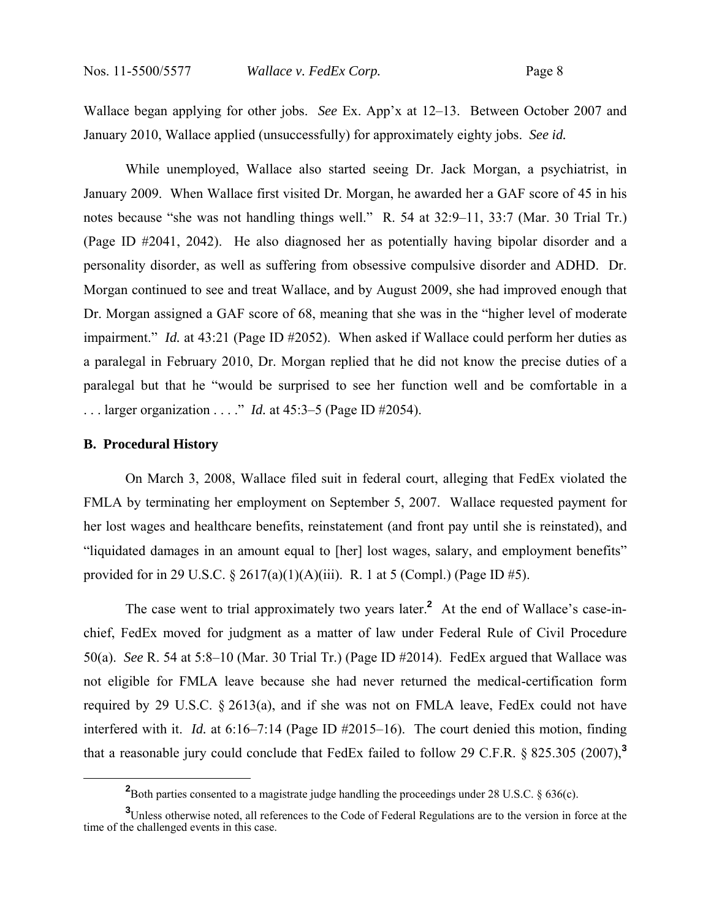Wallace began applying for other jobs. *See* Ex. App'x at 12–13. Between October 2007 and January 2010, Wallace applied (unsuccessfully) for approximately eighty jobs. *See id.*

While unemployed, Wallace also started seeing Dr. Jack Morgan, a psychiatrist, in January 2009. When Wallace first visited Dr. Morgan, he awarded her a GAF score of 45 in his notes because "she was not handling things well." R. 54 at 32:9–11, 33:7 (Mar. 30 Trial Tr.) (Page ID #2041, 2042). He also diagnosed her as potentially having bipolar disorder and a personality disorder, as well as suffering from obsessive compulsive disorder and ADHD. Dr. Morgan continued to see and treat Wallace, and by August 2009, she had improved enough that Dr. Morgan assigned a GAF score of 68, meaning that she was in the "higher level of moderate impairment." *Id.* at 43:21 (Page ID #2052). When asked if Wallace could perform her duties as a paralegal in February 2010, Dr. Morgan replied that he did not know the precise duties of a paralegal but that he "would be surprised to see her function well and be comfortable in a . . . larger organization . . . ." *Id.* at 45:3–5 (Page ID #2054).

#### **B. Procedural History**

On March 3, 2008, Wallace filed suit in federal court, alleging that FedEx violated the FMLA by terminating her employment on September 5, 2007. Wallace requested payment for her lost wages and healthcare benefits, reinstatement (and front pay until she is reinstated), and "liquidated damages in an amount equal to [her] lost wages, salary, and employment benefits" provided for in 29 U.S.C. § 2617(a)(1)(A)(iii). R. 1 at 5 (Compl.) (Page ID #5).

The case went to trial approximately two years later.**<sup>2</sup>** At the end of Wallace's case-inchief, FedEx moved for judgment as a matter of law under Federal Rule of Civil Procedure 50(a). *See* R. 54 at 5:8–10 (Mar. 30 Trial Tr.) (Page ID #2014). FedEx argued that Wallace was not eligible for FMLA leave because she had never returned the medical-certification form required by 29 U.S.C. § 2613(a), and if she was not on FMLA leave, FedEx could not have interfered with it. *Id.* at 6:16–7:14 (Page ID #2015–16). The court denied this motion, finding that a reasonable jury could conclude that FedEx failed to follow 29 C.F.R. § 825.305 (2007),**<sup>3</sup>**

**<sup>2</sup>** <sup>2</sup>Both parties consented to a magistrate judge handling the proceedings under 28 U.S.C. § 636(c).

**<sup>3</sup>** Unless otherwise noted, all references to the Code of Federal Regulations are to the version in force at the time of the challenged events in this case.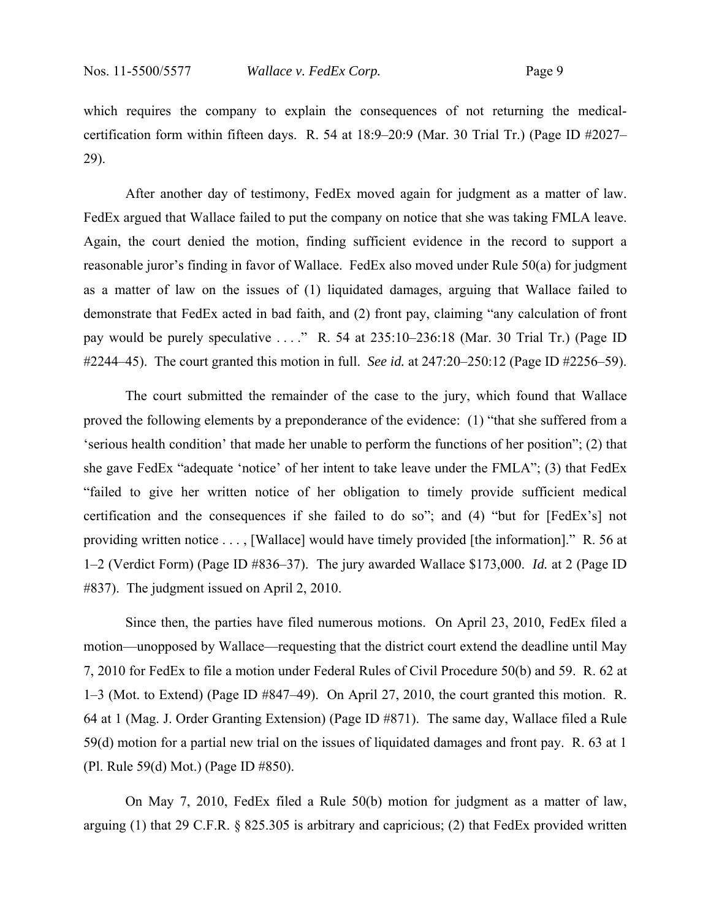which requires the company to explain the consequences of not returning the medicalcertification form within fifteen days. R. 54 at 18:9–20:9 (Mar. 30 Trial Tr.) (Page ID #2027– 29).

After another day of testimony, FedEx moved again for judgment as a matter of law. FedEx argued that Wallace failed to put the company on notice that she was taking FMLA leave. Again, the court denied the motion, finding sufficient evidence in the record to support a reasonable juror's finding in favor of Wallace. FedEx also moved under Rule 50(a) for judgment as a matter of law on the issues of (1) liquidated damages, arguing that Wallace failed to demonstrate that FedEx acted in bad faith, and (2) front pay, claiming "any calculation of front pay would be purely speculative . . . ." R. 54 at 235:10–236:18 (Mar. 30 Trial Tr.) (Page ID #2244–45). The court granted this motion in full. *See id.* at 247:20–250:12 (Page ID #2256–59).

The court submitted the remainder of the case to the jury, which found that Wallace proved the following elements by a preponderance of the evidence: (1) "that she suffered from a 'serious health condition' that made her unable to perform the functions of her position"; (2) that she gave FedEx "adequate 'notice' of her intent to take leave under the FMLA"; (3) that FedEx "failed to give her written notice of her obligation to timely provide sufficient medical certification and the consequences if she failed to do so"; and (4) "but for [FedEx's] not providing written notice . . . , [Wallace] would have timely provided [the information]." R. 56 at 1–2 (Verdict Form) (Page ID #836–37). The jury awarded Wallace \$173,000. *Id.* at 2 (Page ID #837). The judgment issued on April 2, 2010.

Since then, the parties have filed numerous motions. On April 23, 2010, FedEx filed a motion—unopposed by Wallace—requesting that the district court extend the deadline until May 7, 2010 for FedEx to file a motion under Federal Rules of Civil Procedure 50(b) and 59. R. 62 at 1–3 (Mot. to Extend) (Page ID #847–49). On April 27, 2010, the court granted this motion. R. 64 at 1 (Mag. J. Order Granting Extension) (Page ID #871). The same day, Wallace filed a Rule 59(d) motion for a partial new trial on the issues of liquidated damages and front pay. R. 63 at 1 (Pl. Rule 59(d) Mot.) (Page ID #850).

On May 7, 2010, FedEx filed a Rule 50(b) motion for judgment as a matter of law, arguing (1) that 29 C.F.R. § 825.305 is arbitrary and capricious; (2) that FedEx provided written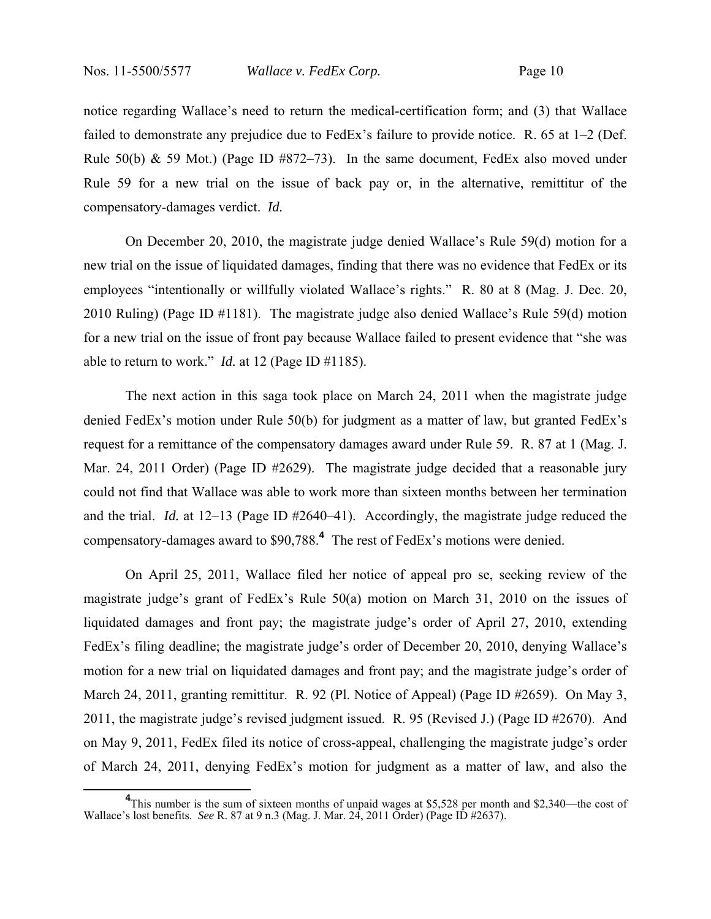notice regarding Wallace's need to return the medical-certification form; and (3) that Wallace failed to demonstrate any prejudice due to FedEx's failure to provide notice. R. 65 at 1–2 (Def. Rule 50(b) & 59 Mot.) (Page ID  $#872-73$ ). In the same document, FedEx also moved under Rule 59 for a new trial on the issue of back pay or, in the alternative, remittitur of the compensatory-damages verdict. *Id.*

On December 20, 2010, the magistrate judge denied Wallace's Rule 59(d) motion for a new trial on the issue of liquidated damages, finding that there was no evidence that FedEx or its employees "intentionally or willfully violated Wallace's rights." R. 80 at 8 (Mag. J. Dec. 20, 2010 Ruling) (Page ID #1181). The magistrate judge also denied Wallace's Rule 59(d) motion for a new trial on the issue of front pay because Wallace failed to present evidence that "she was able to return to work." *Id.* at 12 (Page ID #1185).

The next action in this saga took place on March 24, 2011 when the magistrate judge denied FedEx's motion under Rule 50(b) for judgment as a matter of law, but granted FedEx's request for a remittance of the compensatory damages award under Rule 59. R. 87 at 1 (Mag. J. Mar. 24, 2011 Order) (Page ID #2629). The magistrate judge decided that a reasonable jury could not find that Wallace was able to work more than sixteen months between her termination and the trial. *Id.* at 12–13 (Page ID #2640–41). Accordingly, the magistrate judge reduced the compensatory-damages award to \$90,788.**<sup>4</sup>** The rest of FedEx's motions were denied.

On April 25, 2011, Wallace filed her notice of appeal pro se, seeking review of the magistrate judge's grant of FedEx's Rule 50(a) motion on March 31, 2010 on the issues of liquidated damages and front pay; the magistrate judge's order of April 27, 2010, extending FedEx's filing deadline; the magistrate judge's order of December 20, 2010, denying Wallace's motion for a new trial on liquidated damages and front pay; and the magistrate judge's order of March 24, 2011, granting remittitur. R. 92 (Pl. Notice of Appeal) (Page ID #2659). On May 3, 2011, the magistrate judge's revised judgment issued. R. 95 (Revised J.) (Page ID #2670). And on May 9, 2011, FedEx filed its notice of cross-appeal, challenging the magistrate judge's order of March 24, 2011, denying FedEx's motion for judgment as a matter of law, and also the

<sup>&</sup>lt;sup>4</sup>This number is the sum of sixteen months of unpaid wages at \$5,528 per month and \$2,340—the cost of Wallace's lost benefits. *See* R. 87 at 9 n.3 (Mag. J. Mar. 24, 2011 Order) (Page ID #2637).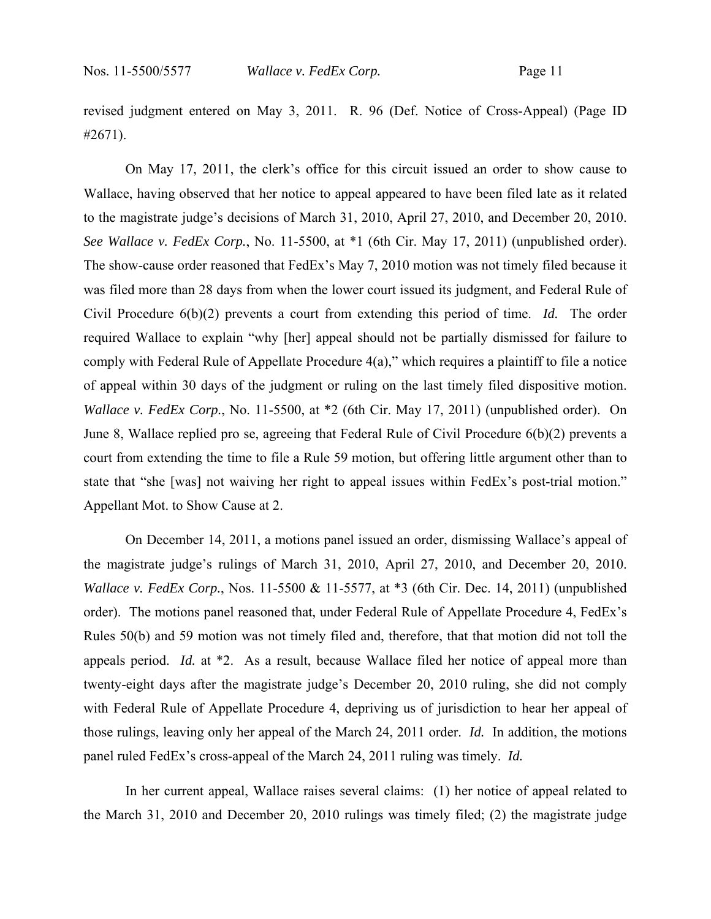revised judgment entered on May 3, 2011. R. 96 (Def. Notice of Cross-Appeal) (Page ID #2671).

On May 17, 2011, the clerk's office for this circuit issued an order to show cause to Wallace, having observed that her notice to appeal appeared to have been filed late as it related to the magistrate judge's decisions of March 31, 2010, April 27, 2010, and December 20, 2010. *See Wallace v. FedEx Corp.*, No. 11-5500, at \*1 (6th Cir. May 17, 2011) (unpublished order). The show-cause order reasoned that FedEx's May 7, 2010 motion was not timely filed because it was filed more than 28 days from when the lower court issued its judgment, and Federal Rule of Civil Procedure 6(b)(2) prevents a court from extending this period of time. *Id.* The order required Wallace to explain "why [her] appeal should not be partially dismissed for failure to comply with Federal Rule of Appellate Procedure 4(a)," which requires a plaintiff to file a notice of appeal within 30 days of the judgment or ruling on the last timely filed dispositive motion. *Wallace v. FedEx Corp.*, No. 11-5500, at  $*2$  (6th Cir. May 17, 2011) (unpublished order). On June 8, Wallace replied pro se, agreeing that Federal Rule of Civil Procedure 6(b)(2) prevents a court from extending the time to file a Rule 59 motion, but offering little argument other than to state that "she [was] not waiving her right to appeal issues within FedEx's post-trial motion." Appellant Mot. to Show Cause at 2.

On December 14, 2011, a motions panel issued an order, dismissing Wallace's appeal of the magistrate judge's rulings of March 31, 2010, April 27, 2010, and December 20, 2010. *Wallace v. FedEx Corp.*, Nos. 11-5500 & 11-5577, at \*3 (6th Cir. Dec. 14, 2011) (unpublished order). The motions panel reasoned that, under Federal Rule of Appellate Procedure 4, FedEx's Rules 50(b) and 59 motion was not timely filed and, therefore, that that motion did not toll the appeals period. *Id.* at \*2. As a result, because Wallace filed her notice of appeal more than twenty-eight days after the magistrate judge's December 20, 2010 ruling, she did not comply with Federal Rule of Appellate Procedure 4, depriving us of jurisdiction to hear her appeal of those rulings, leaving only her appeal of the March 24, 2011 order. *Id.* In addition, the motions panel ruled FedEx's cross-appeal of the March 24, 2011 ruling was timely. *Id.* 

In her current appeal, Wallace raises several claims: (1) her notice of appeal related to the March 31, 2010 and December 20, 2010 rulings was timely filed; (2) the magistrate judge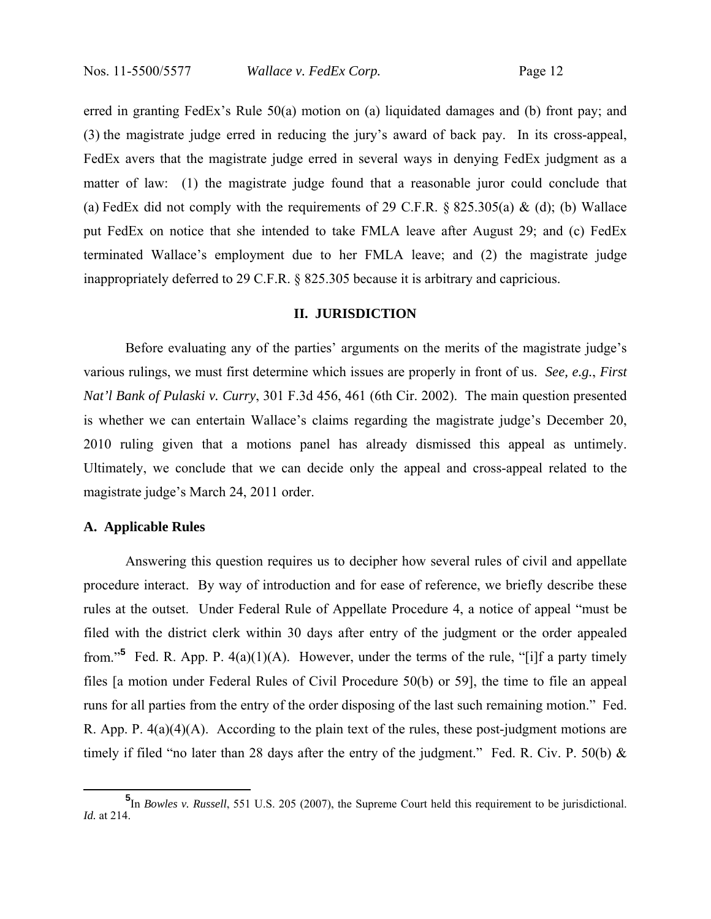erred in granting FedEx's Rule 50(a) motion on (a) liquidated damages and (b) front pay; and (3) the magistrate judge erred in reducing the jury's award of back pay. In its cross-appeal, FedEx avers that the magistrate judge erred in several ways in denying FedEx judgment as a matter of law: (1) the magistrate judge found that a reasonable juror could conclude that (a) FedEx did not comply with the requirements of 29 C.F.R.  $\S$  825.305(a) & (d); (b) Wallace put FedEx on notice that she intended to take FMLA leave after August 29; and (c) FedEx terminated Wallace's employment due to her FMLA leave; and (2) the magistrate judge inappropriately deferred to 29 C.F.R. § 825.305 because it is arbitrary and capricious.

## **II. JURISDICTION**

Before evaluating any of the parties' arguments on the merits of the magistrate judge's various rulings, we must first determine which issues are properly in front of us. *See, e.g.*, *First Nat'l Bank of Pulaski v. Curry*, 301 F.3d 456, 461 (6th Cir. 2002).The main question presented is whether we can entertain Wallace's claims regarding the magistrate judge's December 20, 2010 ruling given that a motions panel has already dismissed this appeal as untimely. Ultimately, we conclude that we can decide only the appeal and cross-appeal related to the magistrate judge's March 24, 2011 order.

## **A. Applicable Rules**

Answering this question requires us to decipher how several rules of civil and appellate procedure interact. By way of introduction and for ease of reference, we briefly describe these rules at the outset. Under Federal Rule of Appellate Procedure 4, a notice of appeal "must be filed with the district clerk within 30 days after entry of the judgment or the order appealed from."<sup>5</sup> Fed. R. App. P.  $4(a)(1)(A)$ . However, under the terms of the rule, "[i]f a party timely files [a motion under Federal Rules of Civil Procedure 50(b) or 59], the time to file an appeal runs for all parties from the entry of the order disposing of the last such remaining motion." Fed. R. App. P. 4(a)(4)(A). According to the plain text of the rules, these post-judgment motions are timely if filed "no later than 28 days after the entry of the judgment." Fed. R. Civ. P. 50(b)  $\&$ 

**<sup>5</sup>** In *Bowles v. Russell*, 551 U.S. 205 (2007), the Supreme Court held this requirement to be jurisdictional. *Id.* at 214.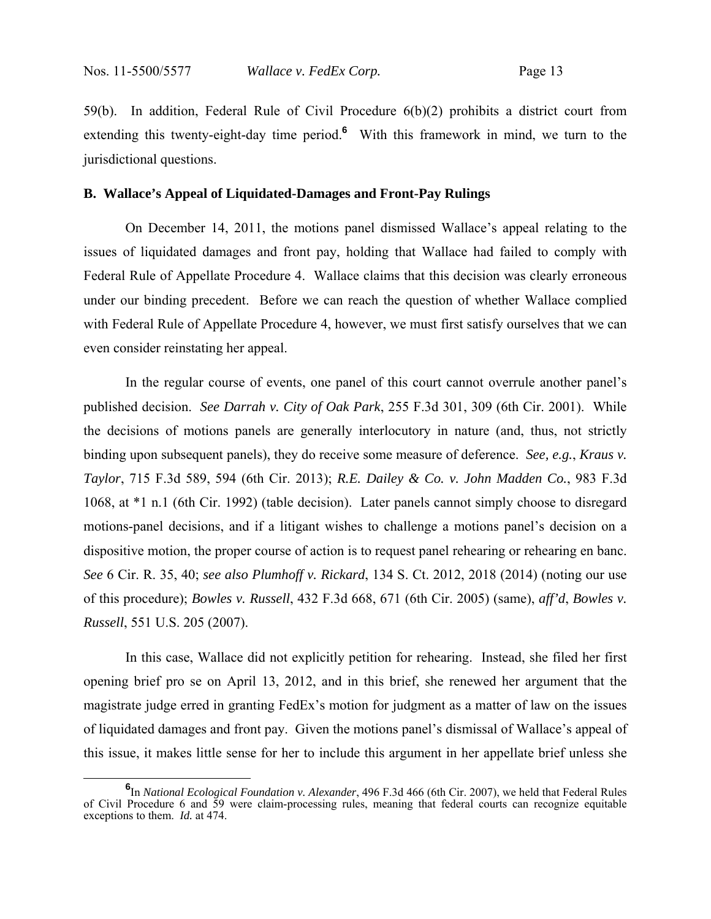59(b). In addition, Federal Rule of Civil Procedure 6(b)(2) prohibits a district court from extending this twenty-eight-day time period.<sup>6</sup> With this framework in mind, we turn to the jurisdictional questions.

#### **B. Wallace's Appeal of Liquidated-Damages and Front-Pay Rulings**

On December 14, 2011, the motions panel dismissed Wallace's appeal relating to the issues of liquidated damages and front pay, holding that Wallace had failed to comply with Federal Rule of Appellate Procedure 4. Wallace claims that this decision was clearly erroneous under our binding precedent. Before we can reach the question of whether Wallace complied with Federal Rule of Appellate Procedure 4, however, we must first satisfy ourselves that we can even consider reinstating her appeal.

In the regular course of events, one panel of this court cannot overrule another panel's published decision. *See Darrah v. City of Oak Park*, 255 F.3d 301, 309 (6th Cir. 2001). While the decisions of motions panels are generally interlocutory in nature (and, thus, not strictly binding upon subsequent panels), they do receive some measure of deference. *See, e.g.*, *Kraus v. Taylor*, 715 F.3d 589, 594 (6th Cir. 2013); *R.E. Dailey & Co. v. John Madden Co.*, 983 F.3d 1068, at \*1 n.1 (6th Cir. 1992) (table decision). Later panels cannot simply choose to disregard motions-panel decisions, and if a litigant wishes to challenge a motions panel's decision on a dispositive motion, the proper course of action is to request panel rehearing or rehearing en banc. *See* 6 Cir. R. 35, 40; *see also Plumhoff v. Rickard*, 134 S. Ct. 2012, 2018 (2014) (noting our use of this procedure); *Bowles v. Russell*, 432 F.3d 668, 671 (6th Cir. 2005) (same), *aff'd*, *Bowles v. Russell*, 551 U.S. 205 (2007).

In this case, Wallace did not explicitly petition for rehearing. Instead, she filed her first opening brief pro se on April 13, 2012, and in this brief, she renewed her argument that the magistrate judge erred in granting FedEx's motion for judgment as a matter of law on the issues of liquidated damages and front pay. Given the motions panel's dismissal of Wallace's appeal of this issue, it makes little sense for her to include this argument in her appellate brief unless she

**<sup>6</sup>** In *National Ecological Foundation v. Alexander*, 496 F.3d 466 (6th Cir. 2007), we held that Federal Rules of Civil Procedure 6 and 59 were claim-processing rules, meaning that federal courts can recognize equitable exceptions to them. *Id.* at 474.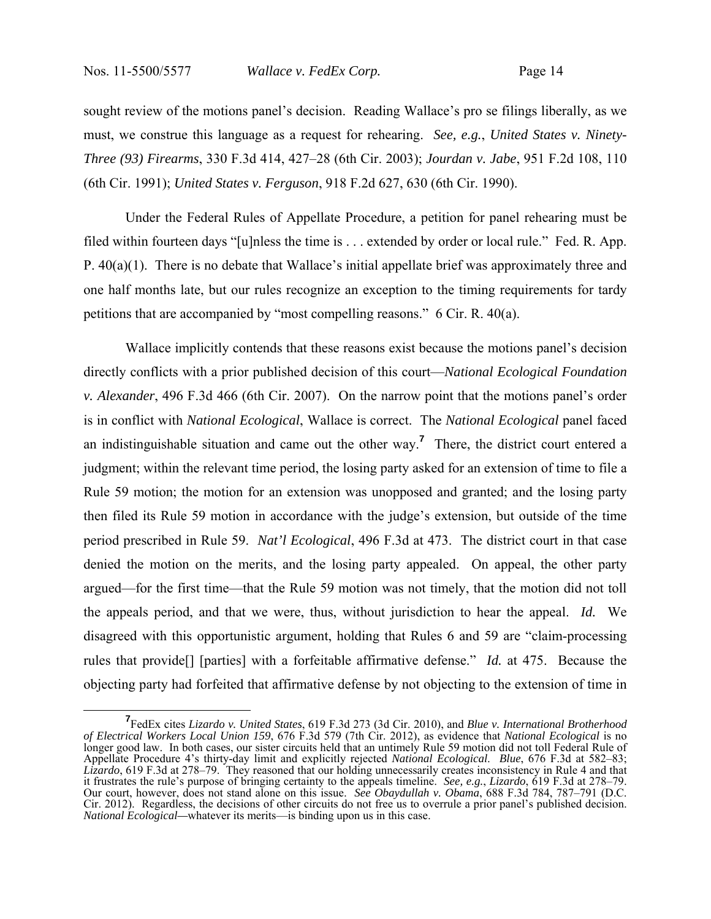sought review of the motions panel's decision. Reading Wallace's pro se filings liberally, as we must, we construe this language as a request for rehearing. *See, e.g.*, *United States v. Ninety-Three (93) Firearms*, 330 F.3d 414, 427–28 (6th Cir. 2003); *Jourdan v. Jabe*, 951 F.2d 108, 110 (6th Cir. 1991); *United States v. Ferguson*, 918 F.2d 627, 630 (6th Cir. 1990).

Under the Federal Rules of Appellate Procedure, a petition for panel rehearing must be filed within fourteen days "[u]nless the time is . . . extended by order or local rule." Fed. R. App. P. 40(a)(1). There is no debate that Wallace's initial appellate brief was approximately three and one half months late, but our rules recognize an exception to the timing requirements for tardy petitions that are accompanied by "most compelling reasons." 6 Cir. R. 40(a).

Wallace implicitly contends that these reasons exist because the motions panel's decision directly conflicts with a prior published decision of this court—*National Ecological Foundation v. Alexander*, 496 F.3d 466 (6th Cir. 2007). On the narrow point that the motions panel's order is in conflict with *National Ecological*, Wallace is correct. The *National Ecological* panel faced an indistinguishable situation and came out the other way.**<sup>7</sup>** There, the district court entered a judgment; within the relevant time period, the losing party asked for an extension of time to file a Rule 59 motion; the motion for an extension was unopposed and granted; and the losing party then filed its Rule 59 motion in accordance with the judge's extension, but outside of the time period prescribed in Rule 59. *Nat'l Ecological*, 496 F.3d at 473. The district court in that case denied the motion on the merits, and the losing party appealed. On appeal, the other party argued—for the first time—that the Rule 59 motion was not timely, that the motion did not toll the appeals period, and that we were, thus, without jurisdiction to hear the appeal. *Id.* We disagreed with this opportunistic argument, holding that Rules 6 and 59 are "claim-processing rules that provide[] [parties] with a forfeitable affirmative defense." *Id.* at 475. Because the objecting party had forfeited that affirmative defense by not objecting to the extension of time in

**<sup>7</sup>** FedEx cites *Lizardo v. United States*, 619 F.3d 273 (3d Cir. 2010), and *Blue v. International Brotherhood of Electrical Workers Local Union 159*, 676 F.3d 579 (7th Cir. 2012), as evidence that *National Ecological* is no longer good law. In both cases, our sister circuits held that an untimely Rule 59 motion did not toll Federal Rule of Appellate Procedure 4's thirty-day limit and explicitly rejected *National Ecological*. *Blue*, 676 F.3d at 582–83; *Lizardo*, 619 F.3d at 278–79. They reasoned that our holding unnecessarily creates inconsistency in Rule 4 and that it frustrates the rule's purpose of bringing certainty to the appeals timeline. *See, e.g.*, *Lizardo*, 619 F.3d at 278–79. Our court, however, does not stand alone on this issue. *See Obaydullah v. Obama*, 688 F.3d 784, 787–791 (D.C. Cir. 2012). Regardless, the decisions of other circuits do not free us to overrule a prior panel's published decision. *National Ecological—*whatever its merits—is binding upon us in this case.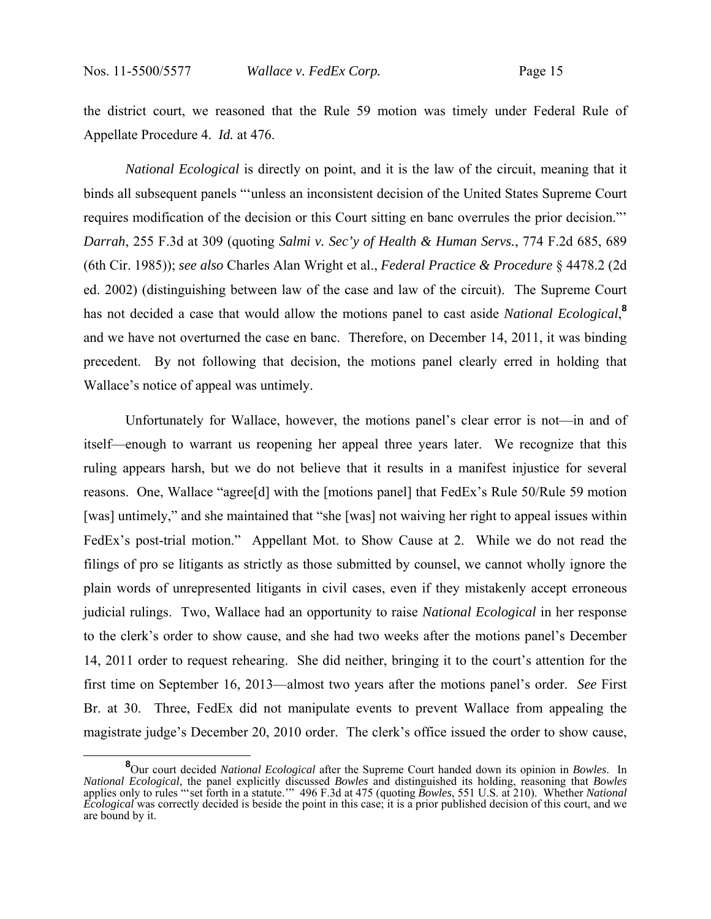the district court, we reasoned that the Rule 59 motion was timely under Federal Rule of Appellate Procedure 4. *Id.* at 476.

*National Ecological* is directly on point, and it is the law of the circuit, meaning that it binds all subsequent panels "'unless an inconsistent decision of the United States Supreme Court requires modification of the decision or this Court sitting en banc overrules the prior decision."' *Darrah*, 255 F.3d at 309 (quoting *Salmi v. Sec'y of Health & Human Servs.*, 774 F.2d 685, 689 (6th Cir. 1985)); *see also* Charles Alan Wright et al., *Federal Practice & Procedure* § 4478.2 (2d ed. 2002) (distinguishing between law of the case and law of the circuit). The Supreme Court has not decided a case that would allow the motions panel to cast aside *National Ecological*, **8** and we have not overturned the case en banc. Therefore, on December 14, 2011, it was binding precedent. By not following that decision, the motions panel clearly erred in holding that Wallace's notice of appeal was untimely.

 Unfortunately for Wallace, however, the motions panel's clear error is not—in and of itself—enough to warrant us reopening her appeal three years later. We recognize that this ruling appears harsh, but we do not believe that it results in a manifest injustice for several reasons. One, Wallace "agree[d] with the [motions panel] that FedEx's Rule 50/Rule 59 motion [was] untimely," and she maintained that "she [was] not waiving her right to appeal issues within FedEx's post-trial motion." Appellant Mot. to Show Cause at 2. While we do not read the filings of pro se litigants as strictly as those submitted by counsel, we cannot wholly ignore the plain words of unrepresented litigants in civil cases, even if they mistakenly accept erroneous judicial rulings. Two, Wallace had an opportunity to raise *National Ecological* in her response to the clerk's order to show cause, and she had two weeks after the motions panel's December 14, 2011 order to request rehearing. She did neither, bringing it to the court's attention for the first time on September 16, 2013—almost two years after the motions panel's order. *See* First Br. at 30. Three, FedEx did not manipulate events to prevent Wallace from appealing the magistrate judge's December 20, 2010 order. The clerk's office issued the order to show cause,

**<sup>8</sup>** Our court decided *National Ecological* after the Supreme Court handed down its opinion in *Bowles*. In *National Ecological*, the panel explicitly discussed *Bowles* and distinguished its holding, reasoning that *Bowles* applies only to rules "'set forth in a statute.'" 496 F.3d at 475 (quoting *Bowles*, 551 U.S. at 210). Whether *National Ecological* was correctly decided is beside the point in this case; it is a prior published decision of this court, and we are bound by it.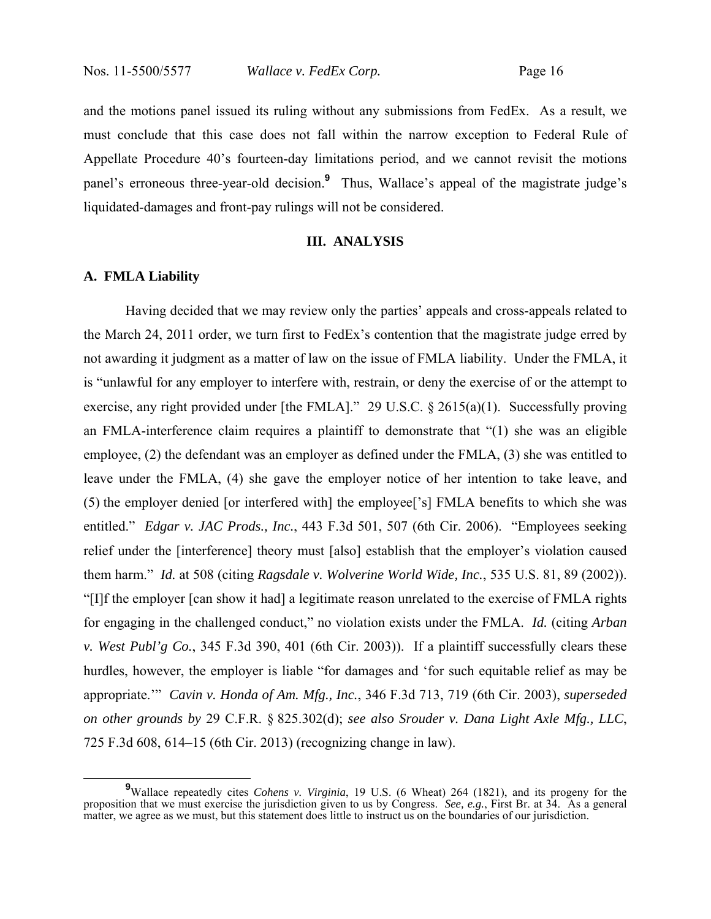and the motions panel issued its ruling without any submissions from FedEx. As a result, we must conclude that this case does not fall within the narrow exception to Federal Rule of Appellate Procedure 40's fourteen-day limitations period, and we cannot revisit the motions panel's erroneous three-year-old decision.**<sup>9</sup>** Thus, Wallace's appeal of the magistrate judge's liquidated-damages and front-pay rulings will not be considered.

#### **III. ANALYSIS**

#### **A. FMLA Liability**

 Having decided that we may review only the parties' appeals and cross-appeals related to the March 24, 2011 order, we turn first to FedEx's contention that the magistrate judge erred by not awarding it judgment as a matter of law on the issue of FMLA liability. Under the FMLA, it is "unlawful for any employer to interfere with, restrain, or deny the exercise of or the attempt to exercise, any right provided under [the FMLA]." 29 U.S.C. § 2615(a)(1). Successfully proving an FMLA-interference claim requires a plaintiff to demonstrate that "(1) she was an eligible employee, (2) the defendant was an employer as defined under the FMLA, (3) she was entitled to leave under the FMLA, (4) she gave the employer notice of her intention to take leave, and (5) the employer denied [or interfered with] the employee['s] FMLA benefits to which she was entitled." *Edgar v. JAC Prods., Inc.*, 443 F.3d 501, 507 (6th Cir. 2006). "Employees seeking relief under the [interference] theory must [also] establish that the employer's violation caused them harm." *Id.* at 508 (citing *Ragsdale v. Wolverine World Wide, Inc.*, 535 U.S. 81, 89 (2002)). "[I]f the employer [can show it had] a legitimate reason unrelated to the exercise of FMLA rights for engaging in the challenged conduct," no violation exists under the FMLA. *Id.* (citing *Arban v. West Publ'g Co.*, 345 F.3d 390, 401 (6th Cir. 2003)). If a plaintiff successfully clears these hurdles, however, the employer is liable "for damages and 'for such equitable relief as may be appropriate.'" *Cavin v. Honda of Am. Mfg., Inc.*, 346 F.3d 713, 719 (6th Cir. 2003), *superseded on other grounds by* 29 C.F.R. § 825.302(d); *see also Srouder v. Dana Light Axle Mfg., LLC*, 725 F.3d 608, 614–15 (6th Cir. 2013) (recognizing change in law).

<sup>&</sup>lt;sup>9</sup>Wallace repeatedly cites *Cohens v. Virginia*, 19 U.S. (6 Wheat) 264 (1821), and its progeny for the proposition that we must exercise the jurisdiction given to us by Congress. *See, e.g.*, First Br. at 34. As a general matter, we agree as we must, but this statement does little to instruct us on the boundaries of our jurisdiction.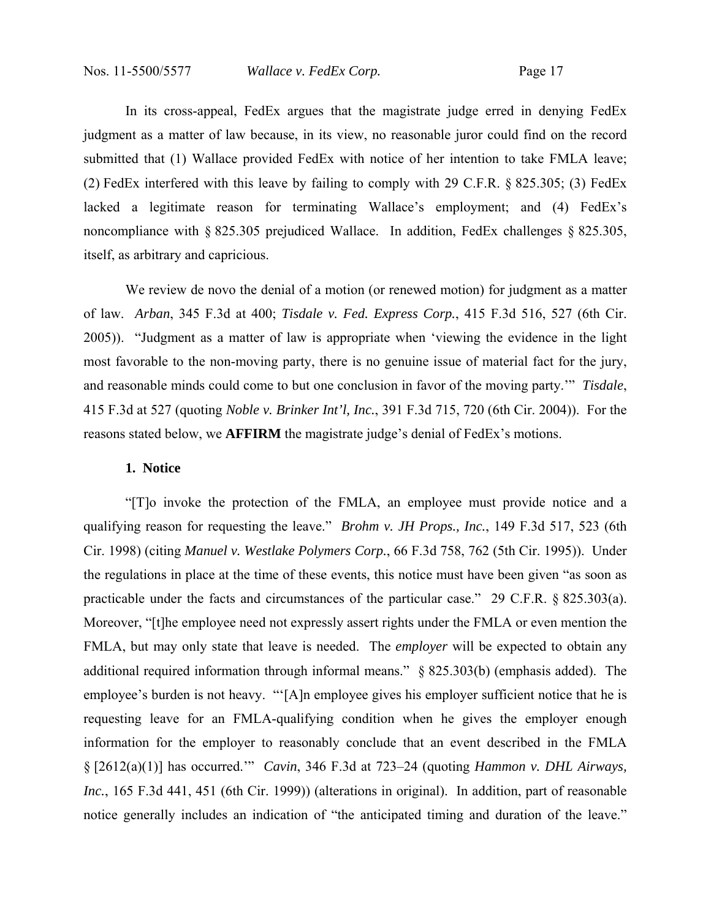In its cross-appeal, FedEx argues that the magistrate judge erred in denying FedEx judgment as a matter of law because, in its view, no reasonable juror could find on the record submitted that (1) Wallace provided FedEx with notice of her intention to take FMLA leave; (2) FedEx interfered with this leave by failing to comply with 29 C.F.R. § 825.305; (3) FedEx lacked a legitimate reason for terminating Wallace's employment; and (4) FedEx's noncompliance with § 825.305 prejudiced Wallace. In addition, FedEx challenges § 825.305, itself, as arbitrary and capricious.

We review de novo the denial of a motion (or renewed motion) for judgment as a matter of law. *Arban*, 345 F.3d at 400; *Tisdale v. Fed. Express Corp.*, 415 F.3d 516, 527 (6th Cir. 2005)). "Judgment as a matter of law is appropriate when 'viewing the evidence in the light most favorable to the non-moving party, there is no genuine issue of material fact for the jury, and reasonable minds could come to but one conclusion in favor of the moving party.'" *Tisdale*, 415 F.3d at 527 (quoting *Noble v. Brinker Int'l, Inc.*, 391 F.3d 715, 720 (6th Cir. 2004)). For the reasons stated below, we **AFFIRM** the magistrate judge's denial of FedEx's motions.

## **1. Notice**

"[T]o invoke the protection of the FMLA, an employee must provide notice and a qualifying reason for requesting the leave." *Brohm v. JH Props., Inc.*, 149 F.3d 517, 523 (6th Cir. 1998) (citing *Manuel v. Westlake Polymers Corp.*, 66 F.3d 758, 762 (5th Cir. 1995)). Under the regulations in place at the time of these events, this notice must have been given "as soon as practicable under the facts and circumstances of the particular case." 29 C.F.R. § 825.303(a). Moreover, "[t]he employee need not expressly assert rights under the FMLA or even mention the FMLA, but may only state that leave is needed. The *employer* will be expected to obtain any additional required information through informal means." § 825.303(b) (emphasis added). The employee's burden is not heavy. "'[A]n employee gives his employer sufficient notice that he is requesting leave for an FMLA-qualifying condition when he gives the employer enough information for the employer to reasonably conclude that an event described in the FMLA § [2612(a)(1)] has occurred.'" *Cavin*, 346 F.3d at 723–24 (quoting *Hammon v. DHL Airways, Inc.*, 165 F.3d 441, 451 (6th Cir. 1999)) (alterations in original). In addition, part of reasonable notice generally includes an indication of "the anticipated timing and duration of the leave."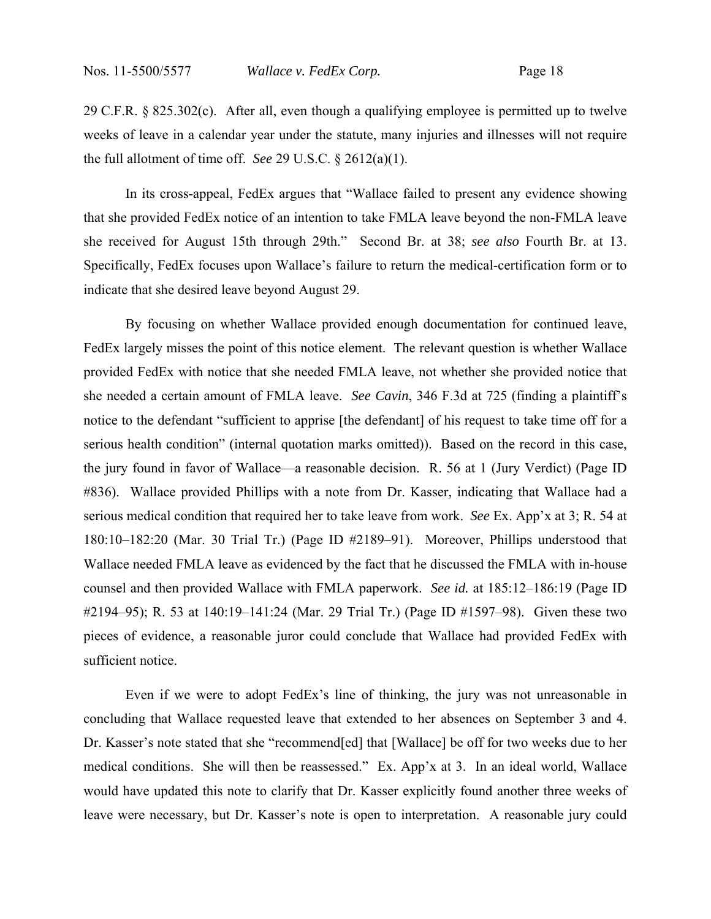29 C.F.R. § 825.302(c). After all, even though a qualifying employee is permitted up to twelve weeks of leave in a calendar year under the statute, many injuries and illnesses will not require the full allotment of time off. *See* 29 U.S.C. § 2612(a)(1).

In its cross-appeal, FedEx argues that "Wallace failed to present any evidence showing that she provided FedEx notice of an intention to take FMLA leave beyond the non-FMLA leave she received for August 15th through 29th." Second Br. at 38; *see also* Fourth Br. at 13. Specifically, FedEx focuses upon Wallace's failure to return the medical-certification form or to indicate that she desired leave beyond August 29.

By focusing on whether Wallace provided enough documentation for continued leave, FedEx largely misses the point of this notice element. The relevant question is whether Wallace provided FedEx with notice that she needed FMLA leave, not whether she provided notice that she needed a certain amount of FMLA leave. *See Cavin*, 346 F.3d at 725 (finding a plaintiff's notice to the defendant "sufficient to apprise [the defendant] of his request to take time off for a serious health condition" (internal quotation marks omitted)). Based on the record in this case, the jury found in favor of Wallace—a reasonable decision. R. 56 at 1 (Jury Verdict) (Page ID #836). Wallace provided Phillips with a note from Dr. Kasser, indicating that Wallace had a serious medical condition that required her to take leave from work. *See* Ex. App'x at 3; R. 54 at 180:10–182:20 (Mar. 30 Trial Tr.) (Page ID #2189–91). Moreover, Phillips understood that Wallace needed FMLA leave as evidenced by the fact that he discussed the FMLA with in-house counsel and then provided Wallace with FMLA paperwork. *See id.* at 185:12–186:19 (Page ID #2194–95); R. 53 at 140:19–141:24 (Mar. 29 Trial Tr.) (Page ID #1597–98). Given these two pieces of evidence, a reasonable juror could conclude that Wallace had provided FedEx with sufficient notice.

Even if we were to adopt FedEx's line of thinking, the jury was not unreasonable in concluding that Wallace requested leave that extended to her absences on September 3 and 4. Dr. Kasser's note stated that she "recommend[ed] that [Wallace] be off for two weeks due to her medical conditions. She will then be reassessed." Ex. App'x at 3. In an ideal world, Wallace would have updated this note to clarify that Dr. Kasser explicitly found another three weeks of leave were necessary, but Dr. Kasser's note is open to interpretation. A reasonable jury could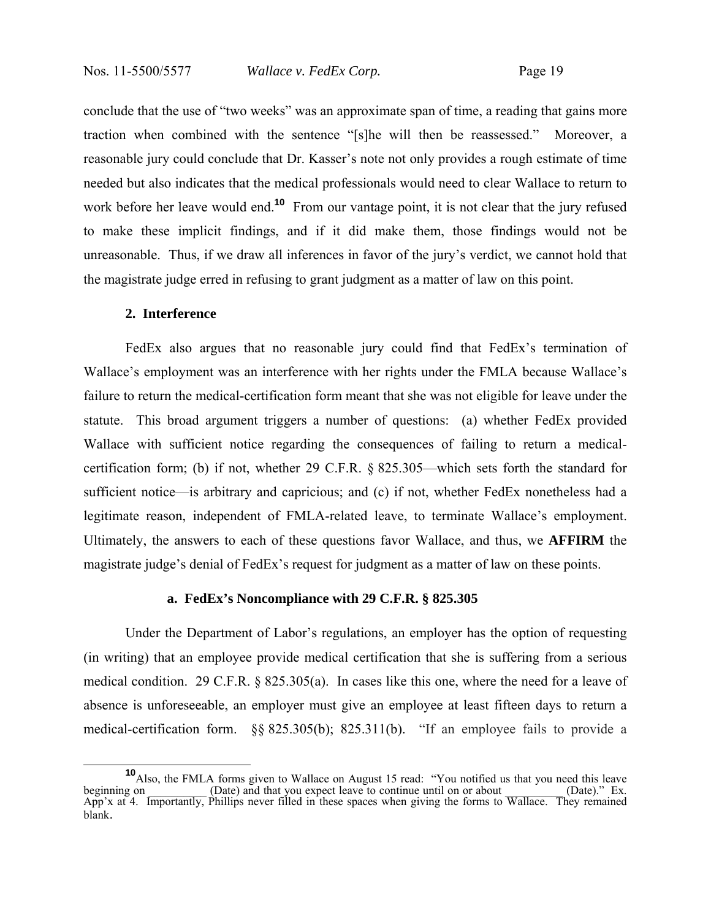conclude that the use of "two weeks" was an approximate span of time, a reading that gains more traction when combined with the sentence "[s]he will then be reassessed." Moreover, a reasonable jury could conclude that Dr. Kasser's note not only provides a rough estimate of time needed but also indicates that the medical professionals would need to clear Wallace to return to work before her leave would end.<sup>10</sup> From our vantage point, it is not clear that the jury refused to make these implicit findings, and if it did make them, those findings would not be unreasonable. Thus, if we draw all inferences in favor of the jury's verdict, we cannot hold that the magistrate judge erred in refusing to grant judgment as a matter of law on this point.

#### **2. Interference**

FedEx also argues that no reasonable jury could find that FedEx's termination of Wallace's employment was an interference with her rights under the FMLA because Wallace's failure to return the medical-certification form meant that she was not eligible for leave under the statute. This broad argument triggers a number of questions: (a) whether FedEx provided Wallace with sufficient notice regarding the consequences of failing to return a medicalcertification form; (b) if not, whether 29 C.F.R. § 825.305—which sets forth the standard for sufficient notice—is arbitrary and capricious; and (c) if not, whether FedEx nonetheless had a legitimate reason, independent of FMLA-related leave, to terminate Wallace's employment. Ultimately, the answers to each of these questions favor Wallace, and thus, we **AFFIRM** the magistrate judge's denial of FedEx's request for judgment as a matter of law on these points.

#### **a. FedEx's Noncompliance with 29 C.F.R. § 825.305**

Under the Department of Labor's regulations, an employer has the option of requesting (in writing) that an employee provide medical certification that she is suffering from a serious medical condition. 29 C.F.R. § 825.305(a). In cases like this one, where the need for a leave of absence is unforeseeable, an employer must give an employee at least fifteen days to return a medical-certification form. §§ 825.305(b); 825.311(b). "If an employee fails to provide a

**<sup>10</sup>**<br>Also, the FMLA forms given to Wallace on August 15 read: "You notified us that you need this leave beginning on \_\_\_\_\_\_\_\_\_ (Date) and that you expect leave to continue until on or about \_\_\_\_\_\_\_\_\_ (Date)." Ex. App'x at 4. Importantly, Phillips never filled in these spaces when giving the forms to Wallace. They remained blank.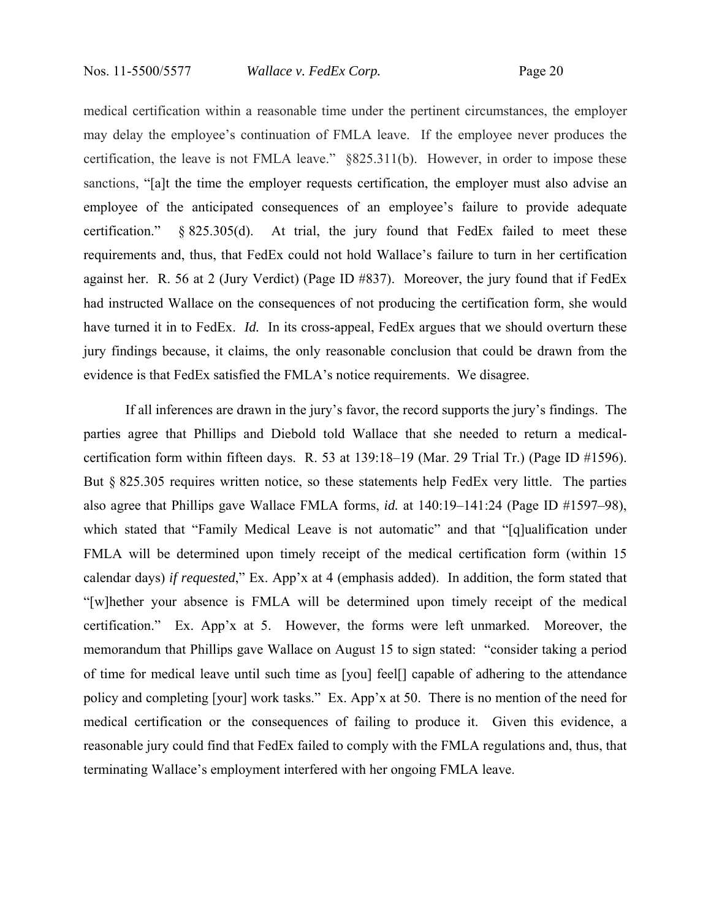medical certification within a reasonable time under the pertinent circumstances, the employer may delay the employee's continuation of FMLA leave. If the employee never produces the certification, the leave is not FMLA leave." §825.311(b). However, in order to impose these sanctions, "[a]t the time the employer requests certification, the employer must also advise an employee of the anticipated consequences of an employee's failure to provide adequate certification." § 825.305(d). At trial, the jury found that FedEx failed to meet these requirements and, thus, that FedEx could not hold Wallace's failure to turn in her certification against her. R. 56 at 2 (Jury Verdict) (Page ID #837). Moreover, the jury found that if FedEx had instructed Wallace on the consequences of not producing the certification form, she would have turned it in to FedEx. *Id.* In its cross-appeal, FedEx argues that we should overturn these jury findings because, it claims, the only reasonable conclusion that could be drawn from the evidence is that FedEx satisfied the FMLA's notice requirements. We disagree.

If all inferences are drawn in the jury's favor, the record supports the jury's findings. The parties agree that Phillips and Diebold told Wallace that she needed to return a medicalcertification form within fifteen days. R. 53 at 139:18–19 (Mar. 29 Trial Tr.) (Page ID #1596). But § 825.305 requires written notice, so these statements help FedEx very little. The parties also agree that Phillips gave Wallace FMLA forms, *id.* at 140:19–141:24 (Page ID #1597–98), which stated that "Family Medical Leave is not automatic" and that "[q]ualification under FMLA will be determined upon timely receipt of the medical certification form (within 15 calendar days) *if requested*," Ex. App'x at 4 (emphasis added). In addition, the form stated that "[w]hether your absence is FMLA will be determined upon timely receipt of the medical certification." Ex. App'x at 5. However, the forms were left unmarked. Moreover, the memorandum that Phillips gave Wallace on August 15 to sign stated: "consider taking a period of time for medical leave until such time as [you] feel[] capable of adhering to the attendance policy and completing [your] work tasks." Ex. App'x at 50. There is no mention of the need for medical certification or the consequences of failing to produce it. Given this evidence, a reasonable jury could find that FedEx failed to comply with the FMLA regulations and, thus, that terminating Wallace's employment interfered with her ongoing FMLA leave.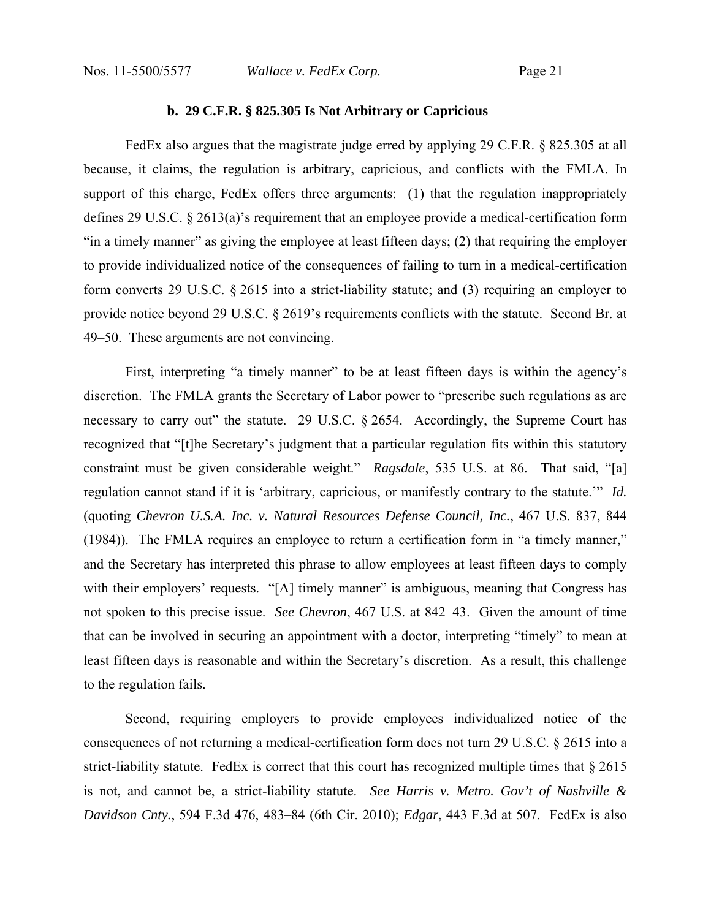## **b. 29 C.F.R. § 825.305 Is Not Arbitrary or Capricious**

FedEx also argues that the magistrate judge erred by applying 29 C.F.R. § 825.305 at all because, it claims, the regulation is arbitrary, capricious, and conflicts with the FMLA. In support of this charge, FedEx offers three arguments: (1) that the regulation inappropriately defines 29 U.S.C. § 2613(a)'s requirement that an employee provide a medical-certification form "in a timely manner" as giving the employee at least fifteen days; (2) that requiring the employer to provide individualized notice of the consequences of failing to turn in a medical-certification form converts 29 U.S.C. § 2615 into a strict-liability statute; and (3) requiring an employer to provide notice beyond 29 U.S.C. § 2619's requirements conflicts with the statute. Second Br. at 49–50. These arguments are not convincing.

First, interpreting "a timely manner" to be at least fifteen days is within the agency's discretion. The FMLA grants the Secretary of Labor power to "prescribe such regulations as are necessary to carry out" the statute. 29 U.S.C. § 2654. Accordingly, the Supreme Court has recognized that "[t]he Secretary's judgment that a particular regulation fits within this statutory constraint must be given considerable weight." *Ragsdale*, 535 U.S. at 86. That said, "[a] regulation cannot stand if it is 'arbitrary, capricious, or manifestly contrary to the statute.'" *Id.* (quoting *Chevron U.S.A. Inc. v. Natural Resources Defense Council, Inc.*, 467 U.S. 837, 844 (1984)). The FMLA requires an employee to return a certification form in "a timely manner," and the Secretary has interpreted this phrase to allow employees at least fifteen days to comply with their employers' requests. "[A] timely manner" is ambiguous, meaning that Congress has not spoken to this precise issue. *See Chevron*, 467 U.S. at 842–43. Given the amount of time that can be involved in securing an appointment with a doctor, interpreting "timely" to mean at least fifteen days is reasonable and within the Secretary's discretion. As a result, this challenge to the regulation fails.

Second, requiring employers to provide employees individualized notice of the consequences of not returning a medical-certification form does not turn 29 U.S.C. § 2615 into a strict-liability statute. FedEx is correct that this court has recognized multiple times that § 2615 is not, and cannot be, a strict-liability statute. *See Harris v. Metro. Gov't of Nashville & Davidson Cnty.*, 594 F.3d 476, 483–84 (6th Cir. 2010); *Edgar*, 443 F.3d at 507. FedEx is also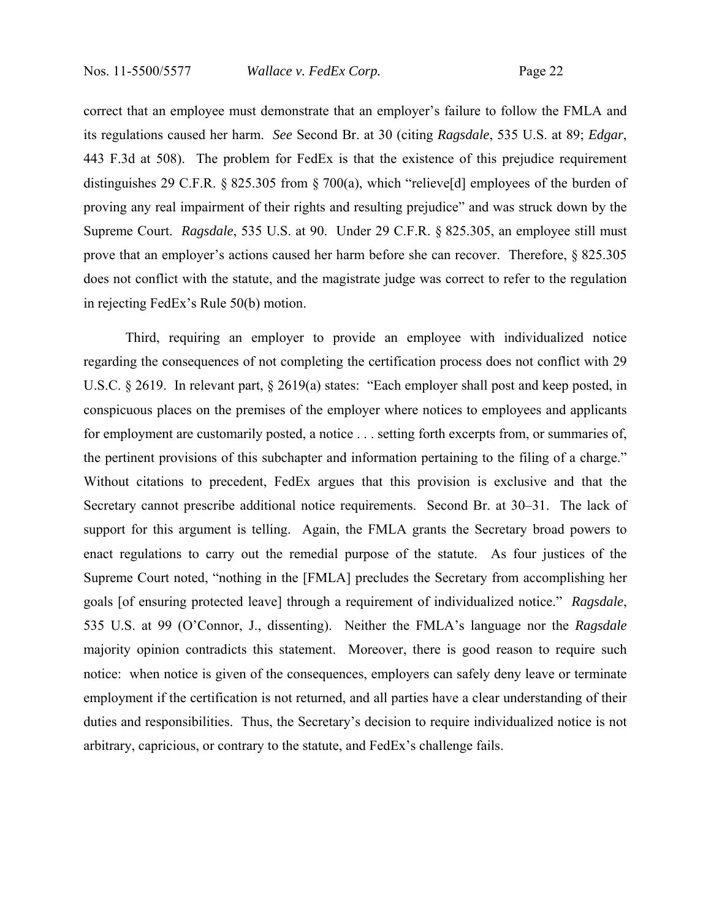correct that an employee must demonstrate that an employer's failure to follow the FMLA and its regulations caused her harm. *See* Second Br. at 30 (citing *Ragsdale*, 535 U.S. at 89; *Edgar*, 443 F.3d at 508). The problem for FedEx is that the existence of this prejudice requirement distinguishes 29 C.F.R. § 825.305 from § 700(a), which "relieve[d] employees of the burden of proving any real impairment of their rights and resulting prejudice" and was struck down by the Supreme Court. *Ragsdale*, 535 U.S. at 90. Under 29 C.F.R. § 825.305, an employee still must prove that an employer's actions caused her harm before she can recover. Therefore, § 825.305 does not conflict with the statute, and the magistrate judge was correct to refer to the regulation in rejecting FedEx's Rule 50(b) motion.

Third, requiring an employer to provide an employee with individualized notice regarding the consequences of not completing the certification process does not conflict with 29 U.S.C. § 2619. In relevant part, § 2619(a) states: "Each employer shall post and keep posted, in conspicuous places on the premises of the employer where notices to employees and applicants for employment are customarily posted, a notice . . . setting forth excerpts from, or summaries of, the pertinent provisions of this subchapter and information pertaining to the filing of a charge." Without citations to precedent, FedEx argues that this provision is exclusive and that the Secretary cannot prescribe additional notice requirements. Second Br. at 30–31. The lack of support for this argument is telling. Again, the FMLA grants the Secretary broad powers to enact regulations to carry out the remedial purpose of the statute. As four justices of the Supreme Court noted, "nothing in the [FMLA] precludes the Secretary from accomplishing her goals [of ensuring protected leave] through a requirement of individualized notice." *Ragsdale*, 535 U.S. at 99 (O'Connor, J., dissenting). Neither the FMLA's language nor the *Ragsdale* majority opinion contradicts this statement. Moreover, there is good reason to require such notice: when notice is given of the consequences, employers can safely deny leave or terminate employment if the certification is not returned, and all parties have a clear understanding of their duties and responsibilities. Thus, the Secretary's decision to require individualized notice is not arbitrary, capricious, or contrary to the statute, and FedEx's challenge fails.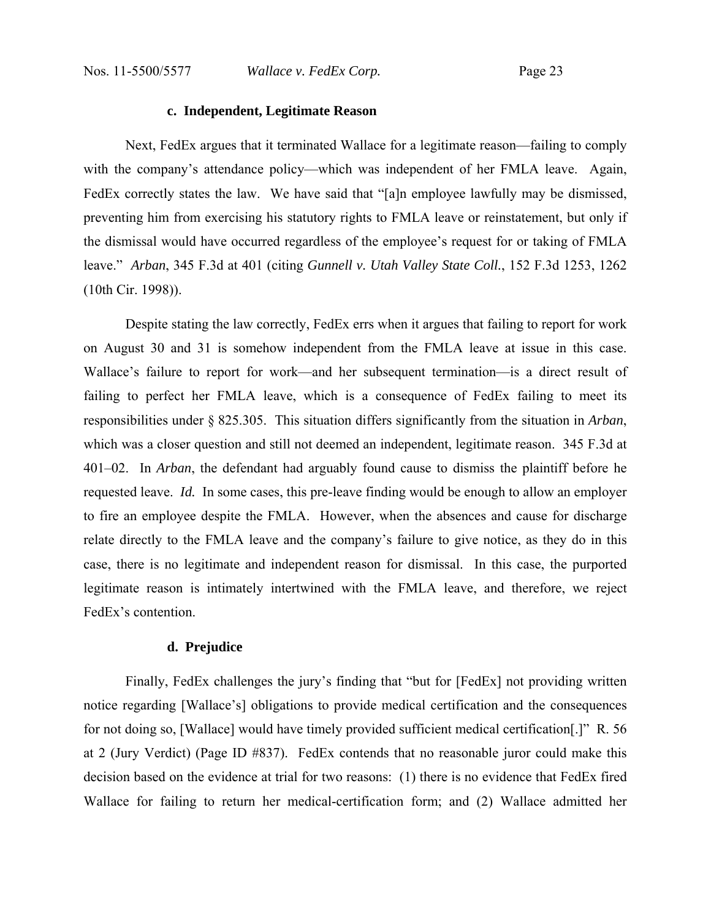## **c. Independent, Legitimate Reason**

 Next, FedEx argues that it terminated Wallace for a legitimate reason—failing to comply with the company's attendance policy—which was independent of her FMLA leave. Again, FedEx correctly states the law. We have said that "[a]n employee lawfully may be dismissed, preventing him from exercising his statutory rights to FMLA leave or reinstatement, but only if the dismissal would have occurred regardless of the employee's request for or taking of FMLA leave." *Arban*, 345 F.3d at 401 (citing *Gunnell v. Utah Valley State Coll.*, 152 F.3d 1253, 1262 (10th Cir. 1998)).

 Despite stating the law correctly, FedEx errs when it argues that failing to report for work on August 30 and 31 is somehow independent from the FMLA leave at issue in this case. Wallace's failure to report for work—and her subsequent termination—is a direct result of failing to perfect her FMLA leave, which is a consequence of FedEx failing to meet its responsibilities under § 825.305. This situation differs significantly from the situation in *Arban*, which was a closer question and still not deemed an independent, legitimate reason. 345 F.3d at 401–02. In *Arban*, the defendant had arguably found cause to dismiss the plaintiff before he requested leave. *Id.* In some cases, this pre-leave finding would be enough to allow an employer to fire an employee despite the FMLA. However, when the absences and cause for discharge relate directly to the FMLA leave and the company's failure to give notice, as they do in this case, there is no legitimate and independent reason for dismissal. In this case, the purported legitimate reason is intimately intertwined with the FMLA leave, and therefore, we reject FedEx's contention.

#### **d. Prejudice**

 Finally, FedEx challenges the jury's finding that "but for [FedEx] not providing written notice regarding [Wallace's] obligations to provide medical certification and the consequences for not doing so, [Wallace] would have timely provided sufficient medical certification[.]" R. 56 at 2 (Jury Verdict) (Page ID #837). FedEx contends that no reasonable juror could make this decision based on the evidence at trial for two reasons: (1) there is no evidence that FedEx fired Wallace for failing to return her medical-certification form; and (2) Wallace admitted her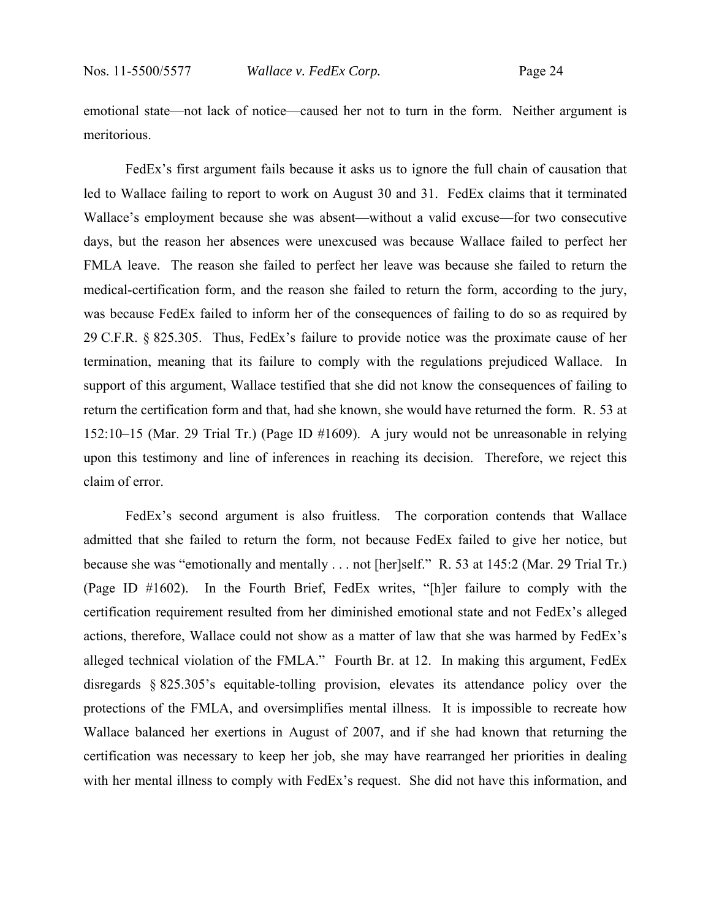emotional state—not lack of notice—caused her not to turn in the form. Neither argument is meritorious.

 FedEx's first argument fails because it asks us to ignore the full chain of causation that led to Wallace failing to report to work on August 30 and 31. FedEx claims that it terminated Wallace's employment because she was absent—without a valid excuse—for two consecutive days, but the reason her absences were unexcused was because Wallace failed to perfect her FMLA leave. The reason she failed to perfect her leave was because she failed to return the medical-certification form, and the reason she failed to return the form, according to the jury, was because FedEx failed to inform her of the consequences of failing to do so as required by 29 C.F.R. § 825.305. Thus, FedEx's failure to provide notice was the proximate cause of her termination, meaning that its failure to comply with the regulations prejudiced Wallace. In support of this argument, Wallace testified that she did not know the consequences of failing to return the certification form and that, had she known, she would have returned the form. R. 53 at 152:10–15 (Mar. 29 Trial Tr.) (Page ID #1609). A jury would not be unreasonable in relying upon this testimony and line of inferences in reaching its decision. Therefore, we reject this claim of error.

 FedEx's second argument is also fruitless. The corporation contends that Wallace admitted that she failed to return the form, not because FedEx failed to give her notice, but because she was "emotionally and mentally . . . not [her]self." R. 53 at 145:2 (Mar. 29 Trial Tr.) (Page ID #1602). In the Fourth Brief, FedEx writes, "[h]er failure to comply with the certification requirement resulted from her diminished emotional state and not FedEx's alleged actions, therefore, Wallace could not show as a matter of law that she was harmed by FedEx's alleged technical violation of the FMLA." Fourth Br. at 12. In making this argument, FedEx disregards § 825.305's equitable-tolling provision, elevates its attendance policy over the protections of the FMLA, and oversimplifies mental illness. It is impossible to recreate how Wallace balanced her exertions in August of 2007, and if she had known that returning the certification was necessary to keep her job, she may have rearranged her priorities in dealing with her mental illness to comply with FedEx's request. She did not have this information, and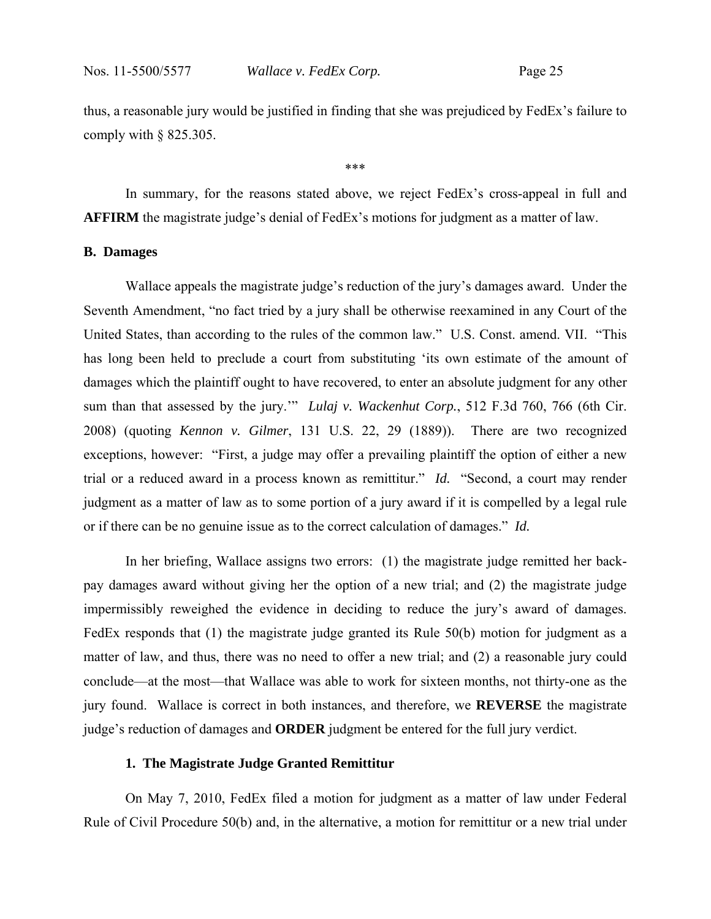thus, a reasonable jury would be justified in finding that she was prejudiced by FedEx's failure to comply with  $§$  825.305.

\*\*\*

 In summary, for the reasons stated above, we reject FedEx's cross-appeal in full and **AFFIRM** the magistrate judge's denial of FedEx's motions for judgment as a matter of law.

#### **B. Damages**

Wallace appeals the magistrate judge's reduction of the jury's damages award. Under the Seventh Amendment, "no fact tried by a jury shall be otherwise reexamined in any Court of the United States, than according to the rules of the common law." U.S. Const. amend. VII. "This has long been held to preclude a court from substituting 'its own estimate of the amount of damages which the plaintiff ought to have recovered, to enter an absolute judgment for any other sum than that assessed by the jury.'" *Lulaj v. Wackenhut Corp.*, 512 F.3d 760, 766 (6th Cir. 2008) (quoting *Kennon v. Gilmer*, 131 U.S. 22, 29 (1889)). There are two recognized exceptions, however: "First, a judge may offer a prevailing plaintiff the option of either a new trial or a reduced award in a process known as remittitur." *Id.* "Second, a court may render judgment as a matter of law as to some portion of a jury award if it is compelled by a legal rule or if there can be no genuine issue as to the correct calculation of damages." *Id.*

In her briefing, Wallace assigns two errors: (1) the magistrate judge remitted her backpay damages award without giving her the option of a new trial; and (2) the magistrate judge impermissibly reweighed the evidence in deciding to reduce the jury's award of damages. FedEx responds that (1) the magistrate judge granted its Rule 50(b) motion for judgment as a matter of law, and thus, there was no need to offer a new trial; and (2) a reasonable jury could conclude—at the most—that Wallace was able to work for sixteen months, not thirty-one as the jury found. Wallace is correct in both instances, and therefore, we **REVERSE** the magistrate judge's reduction of damages and **ORDER** judgment be entered for the full jury verdict.

#### **1. The Magistrate Judge Granted Remittitur**

 On May 7, 2010, FedEx filed a motion for judgment as a matter of law under Federal Rule of Civil Procedure 50(b) and, in the alternative, a motion for remittitur or a new trial under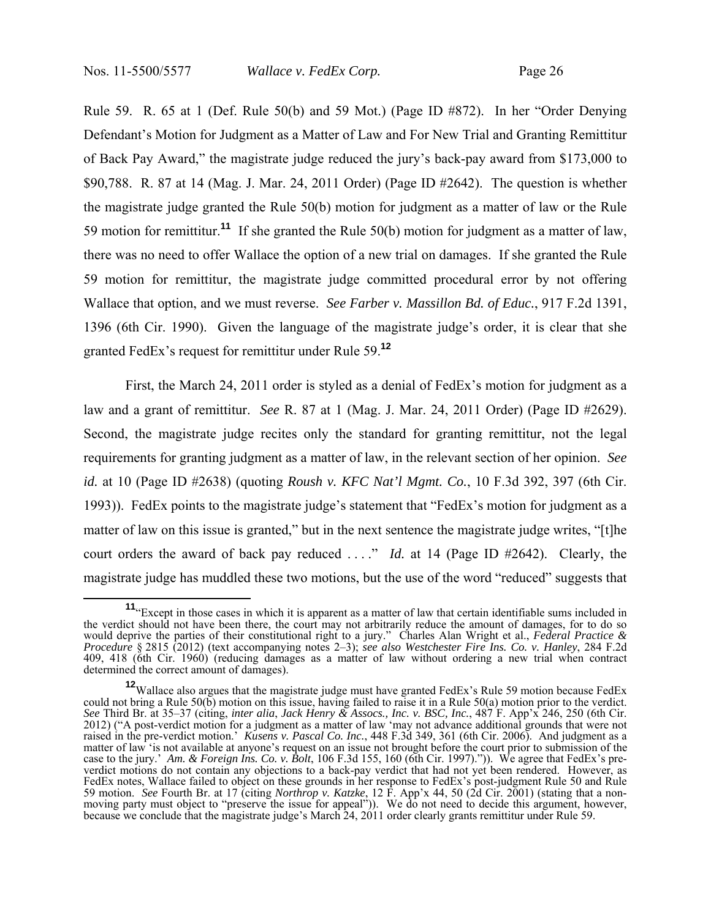Rule 59. R. 65 at 1 (Def. Rule 50(b) and 59 Mot.) (Page ID #872). In her "Order Denying Defendant's Motion for Judgment as a Matter of Law and For New Trial and Granting Remittitur of Back Pay Award," the magistrate judge reduced the jury's back-pay award from \$173,000 to \$90,788. R. 87 at 14 (Mag. J. Mar. 24, 2011 Order) (Page ID #2642). The question is whether the magistrate judge granted the Rule 50(b) motion for judgment as a matter of law or the Rule 59 motion for remittitur.**<sup>11</sup>** If she granted the Rule 50(b) motion for judgment as a matter of law, there was no need to offer Wallace the option of a new trial on damages. If she granted the Rule 59 motion for remittitur, the magistrate judge committed procedural error by not offering Wallace that option, and we must reverse. *See Farber v. Massillon Bd. of Educ.*, 917 F.2d 1391, 1396 (6th Cir. 1990). Given the language of the magistrate judge's order, it is clear that she granted FedEx's request for remittitur under Rule 59.**<sup>12</sup>**

 First, the March 24, 2011 order is styled as a denial of FedEx's motion for judgment as a law and a grant of remittitur. *See* R. 87 at 1 (Mag. J. Mar. 24, 2011 Order) (Page ID #2629). Second, the magistrate judge recites only the standard for granting remittitur, not the legal requirements for granting judgment as a matter of law, in the relevant section of her opinion. *See id.* at 10 (Page ID #2638) (quoting *Roush v. KFC Nat'l Mgmt. Co.*, 10 F.3d 392, 397 (6th Cir. 1993)). FedEx points to the magistrate judge's statement that "FedEx's motion for judgment as a matter of law on this issue is granted," but in the next sentence the magistrate judge writes, "[t]he court orders the award of back pay reduced . . . ." *Id.* at 14 (Page ID #2642). Clearly, the magistrate judge has muddled these two motions, but the use of the word "reduced" suggests that

**<sup>11</sup>**"Except in those cases in which it is apparent as a matter of law that certain identifiable sums included in the verdict should not have been there, the court may not arbitrarily reduce the amount of damages, for to do so would deprive the parties of their constitutional right to a jury." Charles Alan Wright et al., *Federal Practice & Procedure* § 2815 (2012) (text accompanying notes 2–3); *see also Westchester Fire Ins. Co. v. Hanley*, 284 F.2d 409, 418 (6th Cir. 1960) (reducing damages as a matter of law without ordering a new trial when contract determined the correct amount of damages).

**<sup>12</sup>**Wallace also argues that the magistrate judge must have granted FedEx's Rule 59 motion because FedEx could not bring a Rule 50(b) motion on this issue, having failed to raise it in a Rule 50(a) motion prior to the verdict. *See* Third Br. at 35–37 (citing, *inter alia*, *Jack Henry & Assocs., Inc. v. BSC, Inc.*, 487 F. App'x 246, 250 (6th Cir. 2012) ("A post-verdict motion for a judgment as a matter of law 'may not advance additional grounds that were not raised in the pre-verdict motion.' *Kusens v. Pascal Co. Inc.*, 448 F.3d 349, 361 (6th Cir. 2006). And judgment as a matter of law 'is not available at anyone's request on an issue not brought before the court prior to submission of the case to the jury.' *Am. & Foreign Ins. Co. v. Bolt*, 106 F.3d 155, 160 (6th Cir. 1997).")). We agree that FedEx's preverdict motions do not contain any objections to a back-pay verdict that had not yet been rendered. However, as FedEx notes, Wallace failed to object on these grounds in her response to FedEx's post-judgment Rule 50 and Rule 59 motion. *See* Fourth Br. at 17 (citing *Northrop v. Katzke*, 12 F. App'x 44, 50 (2d Cir. 2001) (stating that a nonmoving party must object to "preserve the issue for appeal")). We do not need to decide this argument, however, because we conclude that the magistrate judge's March 24, 2011 order clearly grants remittitur under Rule 59.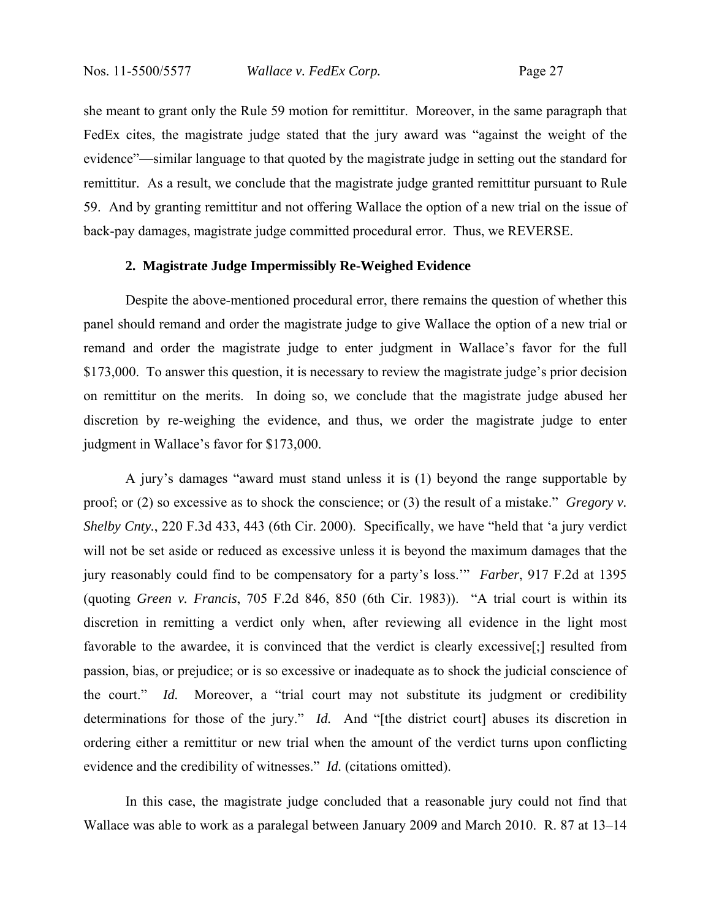she meant to grant only the Rule 59 motion for remittitur. Moreover, in the same paragraph that FedEx cites, the magistrate judge stated that the jury award was "against the weight of the evidence"—similar language to that quoted by the magistrate judge in setting out the standard for remittitur. As a result, we conclude that the magistrate judge granted remittitur pursuant to Rule 59. And by granting remittitur and not offering Wallace the option of a new trial on the issue of back-pay damages, magistrate judge committed procedural error. Thus, we REVERSE.

#### **2. Magistrate Judge Impermissibly Re-Weighed Evidence**

 Despite the above-mentioned procedural error, there remains the question of whether this panel should remand and order the magistrate judge to give Wallace the option of a new trial or remand and order the magistrate judge to enter judgment in Wallace's favor for the full \$173,000. To answer this question, it is necessary to review the magistrate judge's prior decision on remittitur on the merits. In doing so, we conclude that the magistrate judge abused her discretion by re-weighing the evidence, and thus, we order the magistrate judge to enter judgment in Wallace's favor for \$173,000.

 A jury's damages "award must stand unless it is (1) beyond the range supportable by proof; or (2) so excessive as to shock the conscience; or (3) the result of a mistake." *Gregory v. Shelby Cnty.*, 220 F.3d 433, 443 (6th Cir. 2000). Specifically, we have "held that 'a jury verdict will not be set aside or reduced as excessive unless it is beyond the maximum damages that the jury reasonably could find to be compensatory for a party's loss.'" *Farber*, 917 F.2d at 1395 (quoting *Green v. Francis*, 705 F.2d 846, 850 (6th Cir. 1983)). "A trial court is within its discretion in remitting a verdict only when, after reviewing all evidence in the light most favorable to the awardee, it is convinced that the verdict is clearly excessive[;] resulted from passion, bias, or prejudice; or is so excessive or inadequate as to shock the judicial conscience of the court." *Id.* Moreover, a "trial court may not substitute its judgment or credibility determinations for those of the jury." *Id.* And "[the district court] abuses its discretion in ordering either a remittitur or new trial when the amount of the verdict turns upon conflicting evidence and the credibility of witnesses." *Id.* (citations omitted).

 In this case, the magistrate judge concluded that a reasonable jury could not find that Wallace was able to work as a paralegal between January 2009 and March 2010. R. 87 at 13–14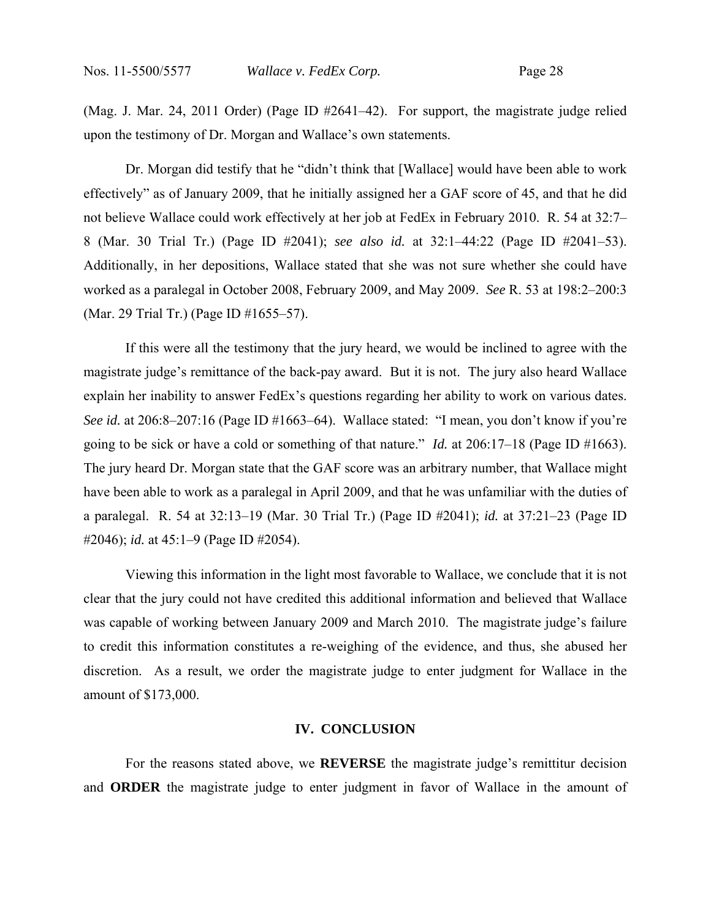(Mag. J. Mar. 24, 2011 Order) (Page ID #2641–42). For support, the magistrate judge relied upon the testimony of Dr. Morgan and Wallace's own statements.

Dr. Morgan did testify that he "didn't think that [Wallace] would have been able to work effectively" as of January 2009, that he initially assigned her a GAF score of 45, and that he did not believe Wallace could work effectively at her job at FedEx in February 2010. R. 54 at 32:7– 8 (Mar. 30 Trial Tr.) (Page ID #2041); *see also id.* at 32:1–44:22 (Page ID #2041–53). Additionally, in her depositions, Wallace stated that she was not sure whether she could have worked as a paralegal in October 2008, February 2009, and May 2009. *See* R. 53 at 198:2–200:3 (Mar. 29 Trial Tr.) (Page ID #1655–57).

If this were all the testimony that the jury heard, we would be inclined to agree with the magistrate judge's remittance of the back-pay award. But it is not. The jury also heard Wallace explain her inability to answer FedEx's questions regarding her ability to work on various dates. *See id.* at 206:8–207:16 (Page ID #1663–64). Wallace stated: "I mean, you don't know if you're going to be sick or have a cold or something of that nature." *Id.* at 206:17–18 (Page ID #1663). The jury heard Dr. Morgan state that the GAF score was an arbitrary number, that Wallace might have been able to work as a paralegal in April 2009, and that he was unfamiliar with the duties of a paralegal. R. 54 at 32:13–19 (Mar. 30 Trial Tr.) (Page ID #2041); *id.* at 37:21–23 (Page ID #2046); *id.* at 45:1–9 (Page ID #2054).

Viewing this information in the light most favorable to Wallace, we conclude that it is not clear that the jury could not have credited this additional information and believed that Wallace was capable of working between January 2009 and March 2010. The magistrate judge's failure to credit this information constitutes a re-weighing of the evidence, and thus, she abused her discretion. As a result, we order the magistrate judge to enter judgment for Wallace in the amount of \$173,000.

#### **IV. CONCLUSION**

 For the reasons stated above, we **REVERSE** the magistrate judge's remittitur decision and **ORDER** the magistrate judge to enter judgment in favor of Wallace in the amount of